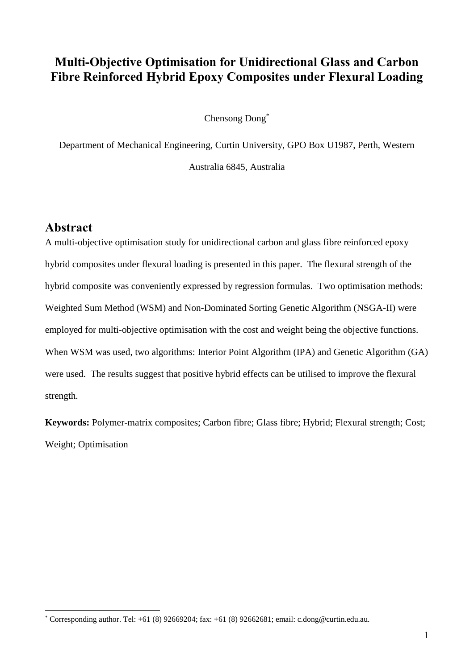# **Multi-Objective Optimisation for Unidirectional Glass and Carbon Fibre Reinforced Hybrid Epoxy Composites under Flexural Loading**

Chensong Dong\*

Department of Mechanical Engineering, Curtin University, GPO Box U1987, Perth, Western

Australia 6845, Australia

## **Abstract**

<u>.</u>

A multi-objective optimisation study for unidirectional carbon and glass fibre reinforced epoxy hybrid composites under flexural loading is presented in this paper. The flexural strength of the hybrid composite was conveniently expressed by regression formulas. Two optimisation methods: Weighted Sum Method (WSM) and Non-Dominated Sorting Genetic Algorithm (NSGA-II) were employed for multi-objective optimisation with the cost and weight being the objective functions. When WSM was used, two algorithms: Interior Point Algorithm (IPA) and Genetic Algorithm (GA) were used. The results suggest that positive hybrid effects can be utilised to improve the flexural strength.

**Keywords:** Polymer-matrix composites; Carbon fibre; Glass fibre; Hybrid; Flexural strength; Cost; Weight; Optimisation

<sup>\*</sup> Corresponding author. Tel: +61 (8) 92669204; fax: +61 (8) 92662681; email: c.dong@curtin.edu.au.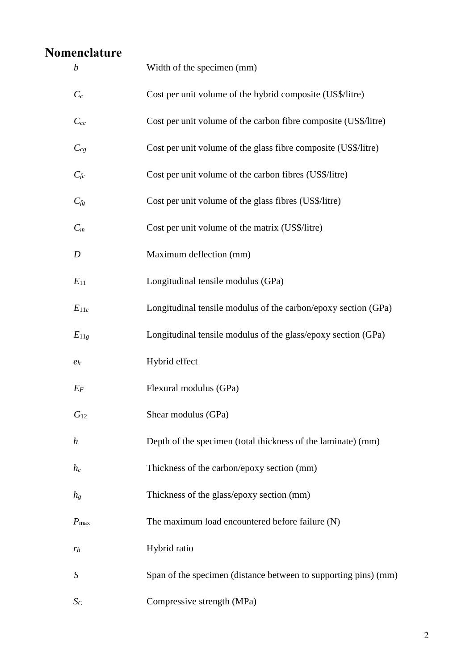# **Nomenclature**

| $\boldsymbol{b}$ | Width of the specimen (mm)                                      |
|------------------|-----------------------------------------------------------------|
| $C_c$            | Cost per unit volume of the hybrid composite (US\$/litre)       |
| $C_{cc}$         | Cost per unit volume of the carbon fibre composite (US\$/litre) |
| $C_{cg}$         | Cost per unit volume of the glass fibre composite (US\$/litre)  |
| $C_{fc}$         | Cost per unit volume of the carbon fibres (US\$/litre)          |
| $C_{fg}$         | Cost per unit volume of the glass fibres (US\$/litre)           |
| $C_m$            | Cost per unit volume of the matrix (US\$/litre)                 |
| D                | Maximum deflection (mm)                                         |
| $E_{11}$         | Longitudinal tensile modulus (GPa)                              |
| $E_{11c}$        | Longitudinal tensile modulus of the carbon/epoxy section (GPa)  |
| $E_{11g}$        | Longitudinal tensile modulus of the glass/epoxy section (GPa)   |
| e <sub>h</sub>   | Hybrid effect                                                   |
| $E_F$            | Flexural modulus (GPa)                                          |
| $G_{12}$         | Shear modulus (GPa)                                             |
| $\boldsymbol{h}$ | Depth of the specimen (total thickness of the laminate) (mm)    |
| $h_c$            | Thickness of the carbon/epoxy section (mm)                      |
| $h_{g}$          | Thickness of the glass/epoxy section (mm)                       |
| $P_{\text{max}}$ | The maximum load encountered before failure (N)                 |
| $r_h$            | Hybrid ratio                                                    |
| $\boldsymbol{S}$ | Span of the specimen (distance between to supporting pins) (mm) |
| $S_C$            | Compressive strength (MPa)                                      |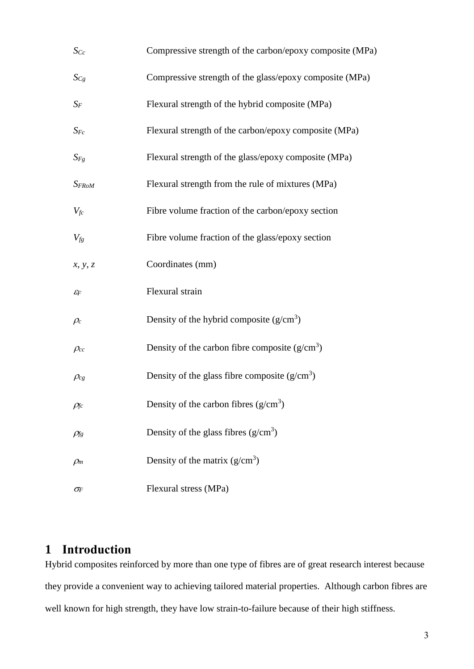| $S_{Cc}$                                           | Compressive strength of the carbon/epoxy composite (MPa) |
|----------------------------------------------------|----------------------------------------------------------|
| $S_{Cg}$                                           | Compressive strength of the glass/epoxy composite (MPa)  |
| $S_F$                                              | Flexural strength of the hybrid composite (MPa)          |
| $S_{Fc}$                                           | Flexural strength of the carbon/epoxy composite (MPa)    |
| $S_{Fg}$                                           | Flexural strength of the glass/epoxy composite (MPa)     |
| $S_{FRoM}$                                         | Flexural strength from the rule of mixtures (MPa)        |
| $V_{\it fc}$                                       | Fibre volume fraction of the carbon/epoxy section        |
| $V_{fg}$                                           | Fibre volume fraction of the glass/epoxy section         |
| x, y, z                                            | Coordinates (mm)                                         |
| $\mathcal{E} _F$                                   | Flexural strain                                          |
| $\rho_c$                                           | Density of the hybrid composite $(g/cm3)$                |
| $\rho_{cc}$                                        | Density of the carbon fibre composite $(g/cm^3)$         |
| $\rho_{cg}$                                        | Density of the glass fibre composite $(g/cm3)$           |
| $\rho_{\!\scriptscriptstyle f \hspace{-0.25mm} c}$ | Density of the carbon fibres $(g/cm^3)$                  |
| $\rho_{\!f\!g}$                                    | Density of the glass fibres $(g/cm3)$                    |
| $\rho_m$                                           | Density of the matrix $(g/cm3)$                          |
| $\sigma_{\!F}$                                     | Flexural stress (MPa)                                    |

# **1 Introduction**

Hybrid composites reinforced by more than one type of fibres are of great research interest because they provide a convenient way to achieving tailored material properties. Although carbon fibres are well known for high strength, they have low strain-to-failure because of their high stiffness.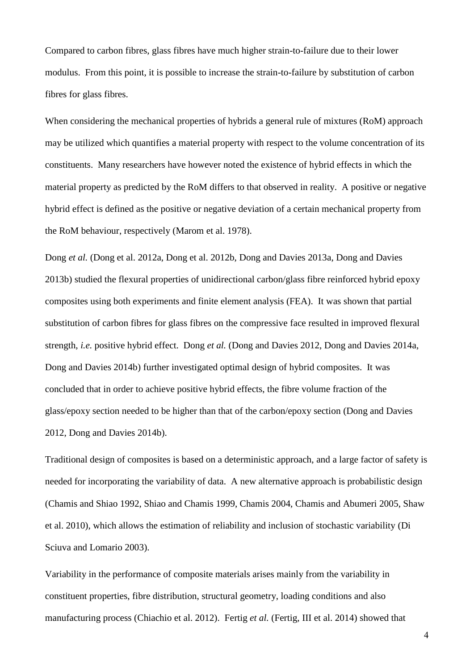Compared to carbon fibres, glass fibres have much higher strain-to-failure due to their lower modulus. From this point, it is possible to increase the strain-to-failure by substitution of carbon fibres for glass fibres.

When considering the mechanical properties of hybrids a general rule of mixtures (RoM) approach may be utilized which quantifies a material property with respect to the volume concentration of its constituents. Many researchers have however noted the existence of hybrid effects in which the material property as predicted by the RoM differs to that observed in reality. A positive or negative hybrid effect is defined as the positive or negative deviation of a certain mechanical property from the RoM behaviour, respectively (Marom et al. 1978).

Dong *et al.* (Dong et al. 2012a, Dong et al. 2012b, Dong and Davies 2013a, Dong and Davies 2013b) studied the flexural properties of unidirectional carbon/glass fibre reinforced hybrid epoxy composites using both experiments and finite element analysis (FEA). It was shown that partial substitution of carbon fibres for glass fibres on the compressive face resulted in improved flexural strength, *i.e.* positive hybrid effect. Dong *et al.* (Dong and Davies 2012, Dong and Davies 2014a, Dong and Davies 2014b) further investigated optimal design of hybrid composites. It was concluded that in order to achieve positive hybrid effects, the fibre volume fraction of the glass/epoxy section needed to be higher than that of the carbon/epoxy section (Dong and Davies 2012, Dong and Davies 2014b).

Traditional design of composites is based on a deterministic approach, and a large factor of safety is needed for incorporating the variability of data. A new alternative approach is probabilistic design (Chamis and Shiao 1992, Shiao and Chamis 1999, Chamis 2004, Chamis and Abumeri 2005, Shaw et al. 2010), which allows the estimation of reliability and inclusion of stochastic variability (Di Sciuva and Lomario 2003).

Variability in the performance of composite materials arises mainly from the variability in constituent properties, fibre distribution, structural geometry, loading conditions and also manufacturing process (Chiachio et al. 2012). Fertig *et al.* (Fertig, III et al. 2014) showed that

4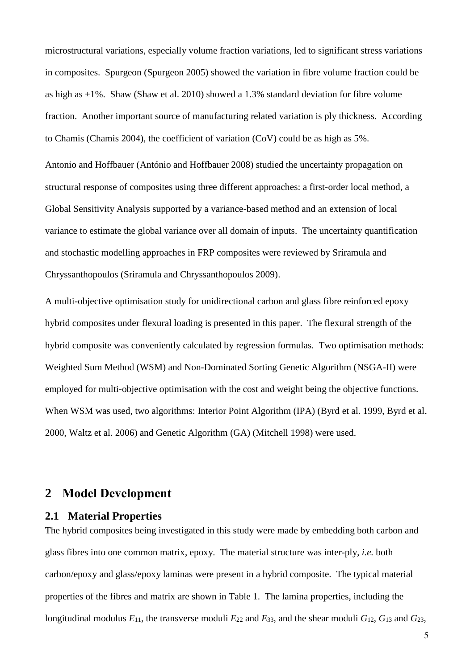microstructural variations, especially volume fraction variations, led to significant stress variations in composites. Spurgeon (Spurgeon 2005) showed the variation in fibre volume fraction could be as high as  $\pm 1\%$ . Shaw (Shaw et al. 2010) showed a 1.3% standard deviation for fibre volume fraction. Another important source of manufacturing related variation is ply thickness. According to Chamis (Chamis 2004), the coefficient of variation (CoV) could be as high as 5%.

Antonio and Hoffbauer (António and Hoffbauer 2008) studied the uncertainty propagation on structural response of composites using three different approaches: a first-order local method, a Global Sensitivity Analysis supported by a variance-based method and an extension of local variance to estimate the global variance over all domain of inputs. The uncertainty quantification and stochastic modelling approaches in FRP composites were reviewed by Sriramula and Chryssanthopoulos (Sriramula and Chryssanthopoulos 2009).

A multi-objective optimisation study for unidirectional carbon and glass fibre reinforced epoxy hybrid composites under flexural loading is presented in this paper. The flexural strength of the hybrid composite was conveniently calculated by regression formulas. Two optimisation methods: Weighted Sum Method (WSM) and Non-Dominated Sorting Genetic Algorithm (NSGA-II) were employed for multi-objective optimisation with the cost and weight being the objective functions. When WSM was used, two algorithms: Interior Point Algorithm (IPA) (Byrd et al. 1999, Byrd et al. 2000, Waltz et al. 2006) and Genetic Algorithm (GA) (Mitchell 1998) were used.

## **2 Model Development**

### **2.1 Material Properties**

The hybrid composites being investigated in this study were made by embedding both carbon and glass fibres into one common matrix, epoxy. The material structure was inter-ply, *i.e.* both carbon/epoxy and glass/epoxy laminas were present in a hybrid composite. The typical material properties of the fibres and matrix are shown in [Table 1.](#page-5-0) The lamina properties, including the longitudinal modulus  $E_{11}$ , the transverse moduli  $E_{22}$  and  $E_{33}$ , and the shear moduli  $G_{12}$ ,  $G_{13}$  and  $G_{23}$ ,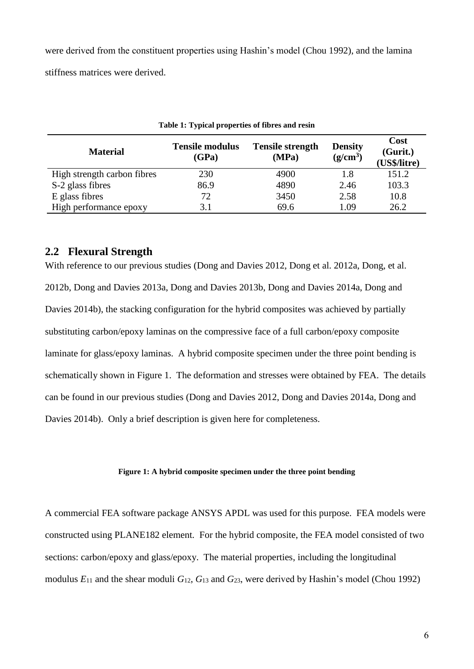were derived from the constituent properties using Hashin's model (Chou 1992), and the lamina stiffness matrices were derived.

<span id="page-5-0"></span>

| <b>Material</b>             | <b>Tensile modulus</b><br>(GPa) | <b>Tensile strength</b><br>(MPa) | <b>Density</b><br>$(g/cm^3)$ | <b>Cost</b><br>(Gurit.)<br>(US\$/litre) |  |  |  |  |  |
|-----------------------------|---------------------------------|----------------------------------|------------------------------|-----------------------------------------|--|--|--|--|--|
| High strength carbon fibres | 230                             | 4900                             | 1.8                          | 151.2                                   |  |  |  |  |  |
| S-2 glass fibres            | 86.9                            | 4890                             | 2.46                         | 103.3                                   |  |  |  |  |  |
| E glass fibres              | 72                              | 3450                             | 2.58                         | 10.8                                    |  |  |  |  |  |
| High performance epoxy      | 3.1                             | 69.6                             | 1.09                         | 26.2                                    |  |  |  |  |  |

| Table 1: Typical properties of fibres and resin |  |  |  |  |
|-------------------------------------------------|--|--|--|--|
|-------------------------------------------------|--|--|--|--|

## **2.2 Flexural Strength**

With reference to our previous studies (Dong and Davies 2012, Dong et al. 2012a, Dong, et al. 2012b, Dong and Davies 2013a, Dong and Davies 2013b, Dong and Davies 2014a, Dong and Davies 2014b), the stacking configuration for the hybrid composites was achieved by partially substituting carbon/epoxy laminas on the compressive face of a full carbon/epoxy composite laminate for glass/epoxy laminas. A hybrid composite specimen under the three point bending is schematically shown in [Figure 1.](#page-5-1) The deformation and stresses were obtained by FEA. The details can be found in our previous studies (Dong and Davies 2012, Dong and Davies 2014a, Dong and Davies 2014b). Only a brief description is given here for completeness.

#### **Figure 1: A hybrid composite specimen under the three point bending**

<span id="page-5-1"></span>A commercial FEA software package ANSYS APDL was used for this purpose. FEA models were constructed using PLANE182 element. For the hybrid composite, the FEA model consisted of two sections: carbon/epoxy and glass/epoxy. The material properties, including the longitudinal modulus  $E_{11}$  and the shear moduli  $G_{12}$ ,  $G_{13}$  and  $G_{23}$ , were derived by Hashin's model (Chou 1992)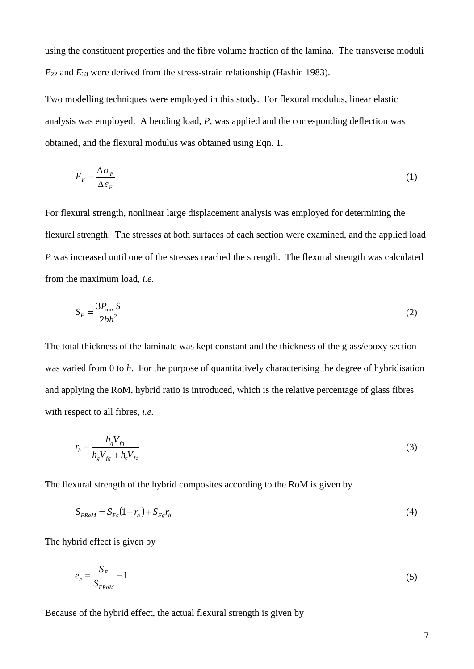using the constituent properties and the fibre volume fraction of the lamina. The transverse moduli *E*<sup>22</sup> and *E*<sup>33</sup> were derived from the stress-strain relationship (Hashin 1983).

Two modelling techniques were employed in this study. For flexural modulus, linear elastic analysis was employed. A bending load, *P*, was applied and the corresponding deflection was obtained, and the flexural modulus was obtained using Eqn. 1.

$$
E_F = \frac{\Delta \sigma_F}{\Delta \varepsilon_F} \tag{1}
$$

For flexural strength, nonlinear large displacement analysis was employed for determining the flexural strength. The stresses at both surfaces of each section were examined, and the applied load *P* was increased until one of the stresses reached the strength. The flexural strength was calculated from the maximum load, *i.e.*

$$
S_F = \frac{3P_{\text{max}}S}{2bh^2} \tag{2}
$$

The total thickness of the laminate was kept constant and the thickness of the glass/epoxy section was varied from 0 to *h*. For the purpose of quantitatively characterising the degree of hybridisation and applying the RoM, hybrid ratio is introduced, which is the relative percentage of glass fibres with respect to all fibres, *i.e.*

$$
r_h = \frac{h_g V_{fg}}{h_g V_{fg} + h_c V_{fc}}
$$
 (3)

The flexural strength of the hybrid composites according to the RoM is given by

$$
S_{FROM} = S_{Fc} (1 - r_h) + S_{Fg} r_h \tag{4}
$$

The hybrid effect is given by

$$
e_h = \frac{S_F}{S_{FROM}} - 1\tag{5}
$$

Because of the hybrid effect, the actual flexural strength is given by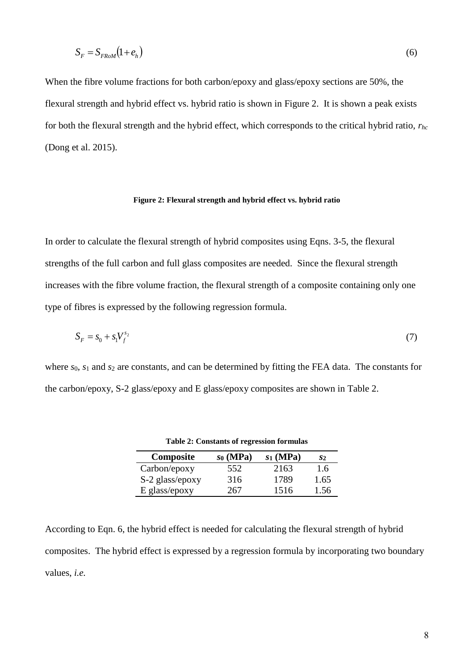$$
S_F = S_{FROM}(1 + e_h) \tag{6}
$$

When the fibre volume fractions for both carbon/epoxy and glass/epoxy sections are 50%, the flexural strength and hybrid effect vs. hybrid ratio is shown in [Figure 2.](#page-7-0) It is shown a peak exists for both the flexural strength and the hybrid effect, which corresponds to the critical hybrid ratio, *rhc* (Dong et al. 2015).

#### **Figure 2: Flexural strength and hybrid effect vs. hybrid ratio**

<span id="page-7-0"></span>In order to calculate the flexural strength of hybrid composites using Eqns. 3-5, the flexural strengths of the full carbon and full glass composites are needed. Since the flexural strength increases with the fibre volume fraction, the flexural strength of a composite containing only one type of fibres is expressed by the following regression formula.

$$
S_F = s_0 + s_1 V_f^{s_2}
$$
 (7)

<span id="page-7-1"></span>where  $s_0$ ,  $s_1$  and  $s_2$  are constants, and can be determined by fitting the FEA data. The constants for the carbon/epoxy, S-2 glass/epoxy and E glass/epoxy composites are shown in [Table 2.](#page-7-1)

| Composite       | so(MPa) | $s_1$ (MPa) | S2   |
|-----------------|---------|-------------|------|
| Carbon/epoxy    | 552     | 2163        | 1.6  |
| S-2 glass/epoxy | 316     | 1789        | 1.65 |
| E glass/epoxy   | 267     | 1516        | 1.56 |

**Table 2: Constants of regression formulas**

According to Eqn. 6, the hybrid effect is needed for calculating the flexural strength of hybrid composites. The hybrid effect is expressed by a regression formula by incorporating two boundary values, *i.e.*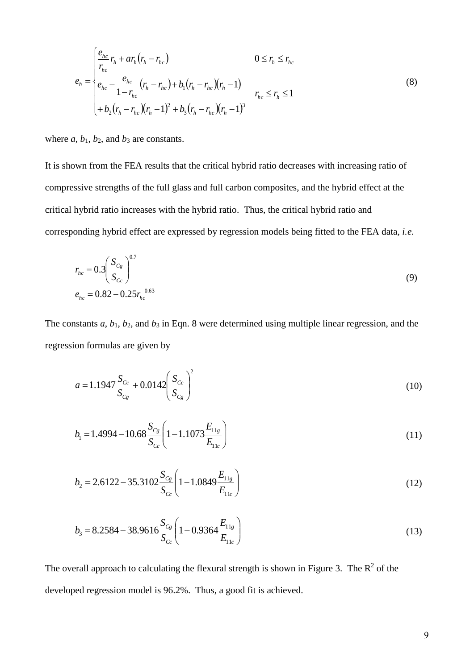$$
e_{h} = \begin{cases} \frac{e_{hc}}{r_{hc}} r_{h} + a r_{h} (r_{h} - r_{hc}) & 0 \le r_{h} \le r_{hc} \\ e_{hc} - \frac{e_{hc}}{1 - r_{hc}} (r_{h} - r_{hc}) + b_{1} (r_{h} - r_{hc}) (r_{h} - 1) & r_{hc} \le r_{h} \le 1 \\ + b_{2} (r_{h} - r_{hc}) (r_{h} - 1)^{2} + b_{3} (r_{h} - r_{hc}) (r_{h} - 1)^{3} & \end{cases}
$$
(8)

where  $a, b_1, b_2$ , and  $b_3$  are constants.

It is shown from the FEA results that the critical hybrid ratio decreases with increasing ratio of compressive strengths of the full glass and full carbon composites, and the hybrid effect at the critical hybrid ratio increases with the hybrid ratio. Thus, the critical hybrid ratio and corresponding hybrid effect are expressed by regression models being fitted to the FEA data, *i.e.*

$$
r_{hc} = 0.3 \left( \frac{S_{Cg}}{S_{Cc}} \right)^{0.7}
$$
  

$$
e_{hc} = 0.82 - 0.25 r_{hc}^{-0.63}
$$
 (9)

The constants *a*, *b*1, *b*2, and *b*<sup>3</sup> in Eqn. 8 were determined using multiple linear regression, and the regression formulas are given by

$$
a = 1.1947 \frac{S_{Cc}}{S_{Cg}} + 0.0142 \left(\frac{S_{Cc}}{S_{Cg}}\right)^2 \tag{10}
$$

$$
b_1 = 1.4994 - 10.68 \frac{S_{Cg}}{S_{Cc}} \left( 1 - 1.1073 \frac{E_{11g}}{E_{11c}} \right)
$$
 (11)

$$
b_2 = 2.6122 - 35.3102 \frac{S_{Cg}}{S_{Cc}} \left( 1 - 1.0849 \frac{E_{11g}}{E_{11c}} \right)
$$
 (12)

$$
b_3 = 8.2584 - 38.9616 \frac{S_{Cg}}{S_{Cc}} \left( 1 - 0.9364 \frac{E_{11g}}{E_{11c}} \right)
$$
 (13)

The overall approach to calculating the flexural strength is shown in [Figure 3.](#page-9-0) The  $\mathbb{R}^2$  of the developed regression model is 96.2%. Thus, a good fit is achieved.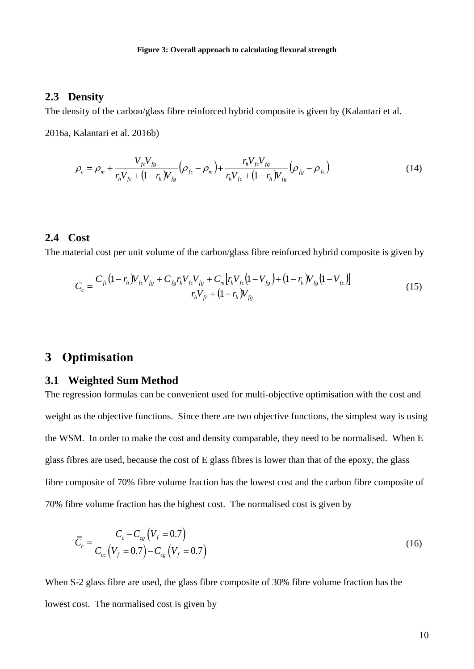### <span id="page-9-0"></span>**2.3 Density**

The density of the carbon/glass fibre reinforced hybrid composite is given by (Kalantari et al.

2016a, Kalantari et al. 2016b)

$$
\rho_c = \rho_m + \frac{V_{fc}V_{fg}}{r_hV_{fc} + (1 - r_h)V_{fg}} \left(\rho_{fc} - \rho_m\right) + \frac{r_hV_{fc}V_{fg}}{r_hV_{fc} + (1 - r_h)V_{fg}} \left(\rho_{fg} - \rho_{fc}\right)
$$
(14)

#### **2.4 Cost**

The material cost per unit volume of the carbon/glass fibre reinforced hybrid composite is given by

$$
C_c = \frac{C_{fc}(1 - r_h)V_{fc}V_{fg} + C_{fg}r_hV_{fc}V_{fg} + C_m[r_hV_{fc}(1 - V_{fg}) + (1 - r_h)V_{fg}(1 - V_{fc})]}{r_hV_{fc} + (1 - r_h)V_{fg}}
$$
(15)

## **3 Optimisation**

### **3.1 Weighted Sum Method**

The regression formulas can be convenient used for multi-objective optimisation with the cost and weight as the objective functions. Since there are two objective functions, the simplest way is using the WSM. In order to make the cost and density comparable, they need to be normalised. When E glass fibres are used, because the cost of E glass fibres is lower than that of the epoxy, the glass fibre composite of 70% fibre volume fraction has the lowest cost and the carbon fibre composite of 70% fibre volume fraction has the highest cost. The normalised cost is given by

$$
\overline{C}_c = \frac{C_c - C_{cg} (V_f = 0.7)}{C_{cc} (V_f = 0.7) - C_{cg} (V_f = 0.7)}
$$
\n(16)

When S-2 glass fibre are used, the glass fibre composite of 30% fibre volume fraction has the lowest cost. The normalised cost is given by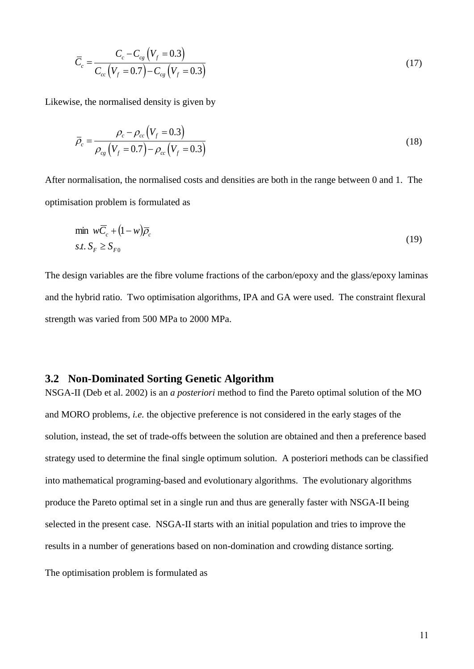$$
\overline{C}_c = \frac{C_c - C_{cg}(V_f = 0.3)}{C_{cc}(V_f = 0.7) - C_{cg}(V_f = 0.3)}
$$
\n(17)

Likewise, the normalised density is given by

$$
\overline{\rho}_c = \frac{\rho_c - \rho_{cc} (V_f = 0.3)}{\rho_{cg} (V_f = 0.7) - \rho_{cc} (V_f = 0.3)}
$$
(18)

After normalisation, the normalised costs and densities are both in the range between 0 and 1. The optimisation problem is formulated as

$$
\min_{\mathbf{w}} \mathbf{w} \overline{\mathbf{C}}_c + (1 - \mathbf{w}) \overline{\rho}_c
$$
\n
$$
s.t. S_F \ge S_{F0}
$$
\n(19)

The design variables are the fibre volume fractions of the carbon/epoxy and the glass/epoxy laminas and the hybrid ratio. Two optimisation algorithms, IPA and GA were used. The constraint flexural strength was varied from 500 MPa to 2000 MPa.

### **3.2 Non-Dominated Sorting Genetic Algorithm**

 $\left[\frac{V_y = 0.3}{1 - C_u} \left(\frac{V_y = 0.3}{1 - 0.3}\right)\right]$  (17)<br>
lensity is given by<br>  $\left[\frac{V_y = 0.3}{1 - 0.3}\right]$  (18)<br>
constituted costs and densities are both in the range between 0 and 1. The<br>
symmalised costs and densities are both in NSGA-II (Deb et al. 2002) is an *a posteriori* method to find the Pareto optimal solution of the MO and MORO problems, *i.e.* the objective preference is not considered in the early stages of the solution, instead, the set of trade-offs between the solution are obtained and then a preference based strategy used to determine the final single optimum solution. A posteriori methods can be classified into mathematical programing-based and evolutionary algorithms. The evolutionary algorithms produce the Pareto optimal set in a single run and thus are generally faster with NSGA-II being selected in the present case. NSGA-II starts with an initial population and tries to improve the results in a number of generations based on non-domination and crowding distance sorting.

The optimisation problem is formulated as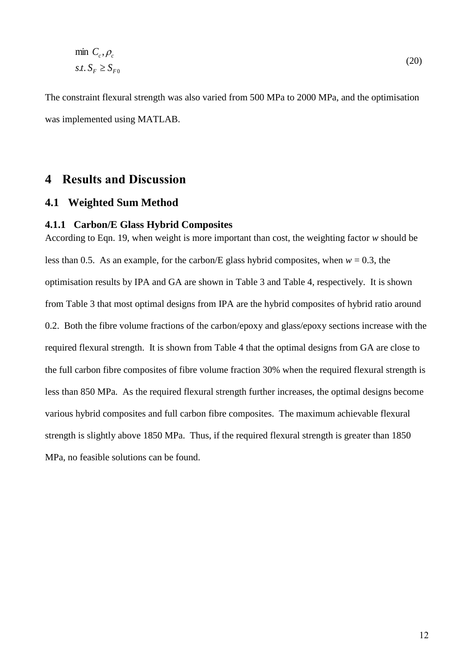$$
\min \, C_c, \rho_c
$$
\n
$$
s.t. \, S_F \ge S_{F0} \tag{20}
$$

The constraint flexural strength was also varied from 500 MPa to 2000 MPa, and the optimisation was implemented using MATLAB.

## **4 Results and Discussion**

### **4.1 Weighted Sum Method**

#### **4.1.1 Carbon/E Glass Hybrid Composites**

According to Eqn. 19, when weight is more important than cost, the weighting factor *w* should be less than 0.5. As an example, for the carbon/E glass hybrid composites, when  $w = 0.3$ , the optimisation results by IPA and GA are shown in [Table 3](#page-12-0) and [Table 4,](#page-13-0) respectively. It is shown from [Table 3](#page-12-0) that most optimal designs from IPA are the hybrid composites of hybrid ratio around 0.2. Both the fibre volume fractions of the carbon/epoxy and glass/epoxy sections increase with the required flexural strength. It is shown from [Table 4](#page-13-0) that the optimal designs from GA are close to the full carbon fibre composites of fibre volume fraction 30% when the required flexural strength is less than 850 MPa. As the required flexural strength further increases, the optimal designs become various hybrid composites and full carbon fibre composites. The maximum achievable flexural strength is slightly above 1850 MPa. Thus, if the required flexural strength is greater than 1850 MPa, no feasible solutions can be found.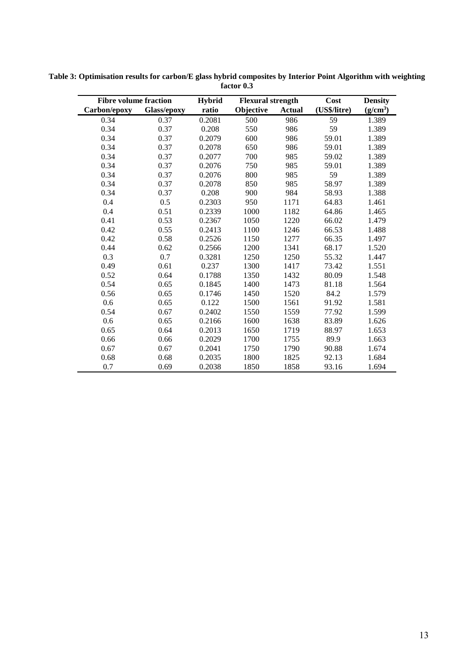| <b>Fibre volume fraction</b> |             | <b>Hybrid</b> | <b>Flexural strength</b> |               | Cost         | <b>Density</b>       |
|------------------------------|-------------|---------------|--------------------------|---------------|--------------|----------------------|
| Carbon/epoxy                 | Glass/epoxy | ratio         | Objective                | <b>Actual</b> | (US\$/litre) | (g/cm <sup>3</sup> ) |
| 0.34                         | 0.37        | 0.2081        | 500                      | 986           | 59           | 1.389                |
| 0.34                         | 0.37        | 0.208         | 550                      | 986           | 59           | 1.389                |
| 0.34                         | 0.37        | 0.2079        | 600                      | 986           | 59.01        | 1.389                |
| 0.34                         | 0.37        | 0.2078        | 650                      | 986           | 59.01        | 1.389                |
| 0.34                         | 0.37        | 0.2077        | 700                      | 985           | 59.02        | 1.389                |
| 0.34                         | 0.37        | 0.2076        | 750                      | 985           | 59.01        | 1.389                |
| 0.34                         | 0.37        | 0.2076        | 800                      | 985           | 59           | 1.389                |
| 0.34                         | 0.37        | 0.2078        | 850                      | 985           | 58.97        | 1.389                |
| 0.34                         | 0.37        | 0.208         | 900                      | 984           | 58.93        | 1.388                |
| 0.4                          | 0.5         | 0.2303        | 950                      | 1171          | 64.83        | 1.461                |
| 0.4                          | 0.51        | 0.2339        | 1000                     | 1182          | 64.86        | 1.465                |
| 0.41                         | 0.53        | 0.2367        | 1050                     | 1220          | 66.02        | 1.479                |
| 0.42                         | 0.55        | 0.2413        | 1100                     | 1246          | 66.53        | 1.488                |
| 0.42                         | 0.58        | 0.2526        | 1150                     | 1277          | 66.35        | 1.497                |
| 0.44                         | 0.62        | 0.2566        | 1200                     | 1341          | 68.17        | 1.520                |
| 0.3                          | 0.7         | 0.3281        | 1250                     | 1250          | 55.32        | 1.447                |
| 0.49                         | 0.61        | 0.237         | 1300                     | 1417          | 73.42        | 1.551                |
| 0.52                         | 0.64        | 0.1788        | 1350                     | 1432          | 80.09        | 1.548                |
| 0.54                         | 0.65        | 0.1845        | 1400                     | 1473          | 81.18        | 1.564                |
| 0.56                         | 0.65        | 0.1746        | 1450                     | 1520          | 84.2         | 1.579                |
| 0.6                          | 0.65        | 0.122         | 1500                     | 1561          | 91.92        | 1.581                |
| 0.54                         | 0.67        | 0.2402        | 1550                     | 1559          | 77.92        | 1.599                |
| 0.6                          | 0.65        | 0.2166        | 1600                     | 1638          | 83.89        | 1.626                |
| 0.65                         | 0.64        | 0.2013        | 1650                     | 1719          | 88.97        | 1.653                |
| 0.66                         | 0.66        | 0.2029        | 1700                     | 1755          | 89.9         | 1.663                |
| 0.67                         | 0.67        | 0.2041        | 1750                     | 1790          | 90.88        | 1.674                |
| 0.68                         | 0.68        | 0.2035        | 1800                     | 1825          | 92.13        | 1.684                |
| 0.7                          | 0.69        | 0.2038        | 1850                     | 1858          | 93.16        | 1.694                |

<span id="page-12-0"></span>**Table 3: Optimisation results for carbon/E glass hybrid composites by Interior Point Algorithm with weighting factor 0.3**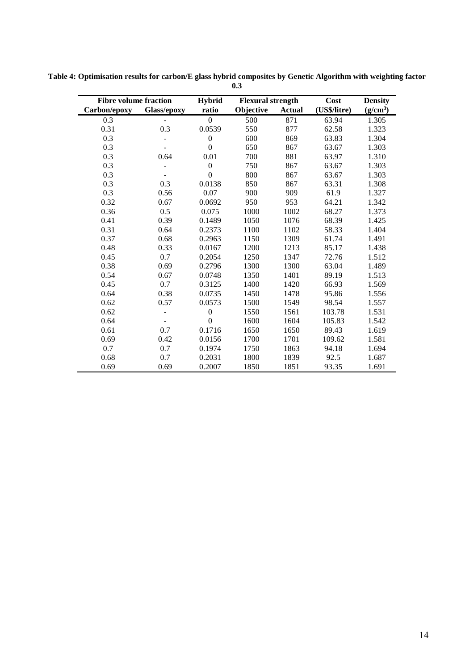| <b>Fibre volume fraction</b> |                          | <b>Hybrid</b>    | <b>Flexural strength</b> |               | Cost         | <b>Density</b>       |
|------------------------------|--------------------------|------------------|--------------------------|---------------|--------------|----------------------|
| Carbon/epoxy                 | Glass/epoxy              | ratio            | Objective                | <b>Actual</b> | (US\$/litre) | (g/cm <sup>3</sup> ) |
| 0.3                          |                          | $\boldsymbol{0}$ | 500                      | 871           | 63.94        | 1.305                |
| 0.31                         | 0.3                      | 0.0539           | 550                      | 877           | 62.58        | 1.323                |
| 0.3                          |                          | $\boldsymbol{0}$ | 600                      | 869           | 63.83        | 1.304                |
| 0.3                          |                          | $\overline{0}$   | 650                      | 867           | 63.67        | 1.303                |
| 0.3                          | 0.64                     | 0.01             | 700                      | 881           | 63.97        | 1.310                |
| 0.3                          |                          | $\boldsymbol{0}$ | 750                      | 867           | 63.67        | 1.303                |
| 0.3                          |                          | $\overline{0}$   | 800                      | 867           | 63.67        | 1.303                |
| 0.3                          | 0.3                      | 0.0138           | 850                      | 867           | 63.31        | 1.308                |
| 0.3                          | 0.56                     | 0.07             | 900                      | 909           | 61.9         | 1.327                |
| 0.32                         | 0.67                     | 0.0692           | 950                      | 953           | 64.21        | 1.342                |
| 0.36                         | 0.5                      | 0.075            | 1000                     | 1002          | 68.27        | 1.373                |
| 0.41                         | 0.39                     | 0.1489           | 1050                     | 1076          | 68.39        | 1.425                |
| 0.31                         | 0.64                     | 0.2373           | 1100                     | 1102          | 58.33        | 1.404                |
| 0.37                         | 0.68                     | 0.2963           | 1150                     | 1309          | 61.74        | 1.491                |
| 0.48                         | 0.33                     | 0.0167           | 1200                     | 1213          | 85.17        | 1.438                |
| 0.45                         | 0.7                      | 0.2054           | 1250                     | 1347          | 72.76        | 1.512                |
| 0.38                         | 0.69                     | 0.2796           | 1300                     | 1300          | 63.04        | 1.489                |
| 0.54                         | 0.67                     | 0.0748           | 1350                     | 1401          | 89.19        | 1.513                |
| 0.45                         | 0.7                      | 0.3125           | 1400                     | 1420          | 66.93        | 1.569                |
| 0.64                         | 0.38                     | 0.0735           | 1450                     | 1478          | 95.86        | 1.556                |
| 0.62                         | 0.57                     | 0.0573           | 1500                     | 1549          | 98.54        | 1.557                |
| 0.62                         | $\overline{\phantom{a}}$ | $\boldsymbol{0}$ | 1550                     | 1561          | 103.78       | 1.531                |
| 0.64                         | $\blacksquare$           | $\overline{0}$   | 1600                     | 1604          | 105.83       | 1.542                |
| 0.61                         | 0.7                      | 0.1716           | 1650                     | 1650          | 89.43        | 1.619                |
| 0.69                         | 0.42                     | 0.0156           | 1700                     | 1701          | 109.62       | 1.581                |
| 0.7                          | 0.7                      | 0.1974           | 1750                     | 1863          | 94.18        | 1.694                |
| 0.68                         | 0.7                      | 0.2031           | 1800                     | 1839          | 92.5         | 1.687                |
| 0.69                         | 0.69                     | 0.2007           | 1850                     | 1851          | 93.35        | 1.691                |

<span id="page-13-0"></span>**Table 4: Optimisation results for carbon/E glass hybrid composites by Genetic Algorithm with weighting factor 0.3**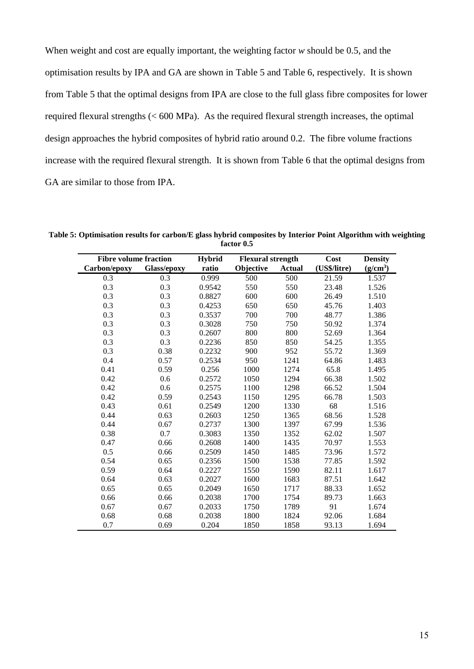When weight and cost are equally important, the weighting factor *w* should be 0.5, and the optimisation results by IPA and GA are shown in [Table 5](#page-14-0) and [Table 6,](#page-15-0) respectively. It is shown from [Table 5](#page-14-0) that the optimal designs from IPA are close to the full glass fibre composites for lower required flexural strengths (< 600 MPa). As the required flexural strength increases, the optimal design approaches the hybrid composites of hybrid ratio around 0.2. The fibre volume fractions increase with the required flexural strength. It is shown from [Table 6](#page-15-0) that the optimal designs from GA are similar to those from IPA.

| <b>Fibre volume fraction</b> |             | <b>Hybrid</b> | <b>Flexural strength</b> |               | Cost         | <b>Density</b>       |
|------------------------------|-------------|---------------|--------------------------|---------------|--------------|----------------------|
| Carbon/epoxy                 | Glass/epoxy | ratio         | Objective                | <b>Actual</b> | (US\$/litre) | (g/cm <sup>3</sup> ) |
| 0.3                          | 0.3         | 0.999         | 500                      | 500           | 21.59        | 1.537                |
| 0.3                          | 0.3         | 0.9542        | 550                      | 550           | 23.48        | 1.526                |
| 0.3                          | 0.3         | 0.8827        | 600                      | 600           | 26.49        | 1.510                |
| 0.3                          | 0.3         | 0.4253        | 650                      | 650           | 45.76        | 1.403                |
| 0.3                          | 0.3         | 0.3537        | 700                      | 700           | 48.77        | 1.386                |
| 0.3                          | 0.3         | 0.3028        | 750                      | 750           | 50.92        | 1.374                |
| 0.3                          | 0.3         | 0.2607        | 800                      | 800           | 52.69        | 1.364                |
| 0.3                          | 0.3         | 0.2236        | 850                      | 850           | 54.25        | 1.355                |
| 0.3                          | 0.38        | 0.2232        | 900                      | 952           | 55.72        | 1.369                |
| 0.4                          | 0.57        | 0.2534        | 950                      | 1241          | 64.86        | 1.483                |
| 0.41                         | 0.59        | 0.256         | 1000                     | 1274          | 65.8         | 1.495                |
| 0.42                         | 0.6         | 0.2572        | 1050                     | 1294          | 66.38        | 1.502                |
| 0.42                         | 0.6         | 0.2575        | 1100                     | 1298          | 66.52        | 1.504                |
| 0.42                         | 0.59        | 0.2543        | 1150                     | 1295          | 66.78        | 1.503                |
| 0.43                         | 0.61        | 0.2549        | 1200                     | 1330          | 68           | 1.516                |
| 0.44                         | 0.63        | 0.2603        | 1250                     | 1365          | 68.56        | 1.528                |
| 0.44                         | 0.67        | 0.2737        | 1300                     | 1397          | 67.99        | 1.536                |
| 0.38                         | 0.7         | 0.3083        | 1350                     | 1352          | 62.02        | 1.507                |
| 0.47                         | 0.66        | 0.2608        | 1400                     | 1435          | 70.97        | 1.553                |
| 0.5                          | 0.66        | 0.2509        | 1450                     | 1485          | 73.96        | 1.572                |
| 0.54                         | 0.65        | 0.2356        | 1500                     | 1538          | 77.85        | 1.592                |
| 0.59                         | 0.64        | 0.2227        | 1550                     | 1590          | 82.11        | 1.617                |
| 0.64                         | 0.63        | 0.2027        | 1600                     | 1683          | 87.51        | 1.642                |
| 0.65                         | 0.65        | 0.2049        | 1650                     | 1717          | 88.33        | 1.652                |
| 0.66                         | 0.66        | 0.2038        | 1700                     | 1754          | 89.73        | 1.663                |
| 0.67                         | 0.67        | 0.2033        | 1750                     | 1789          | 91           | 1.674                |
| 0.68                         | 0.68        | 0.2038        | 1800                     | 1824          | 92.06        | 1.684                |
| 0.7                          | 0.69        | 0.204         | 1850                     | 1858          | 93.13        | 1.694                |

<span id="page-14-0"></span>**Table 5: Optimisation results for carbon/E glass hybrid composites by Interior Point Algorithm with weighting factor 0.5**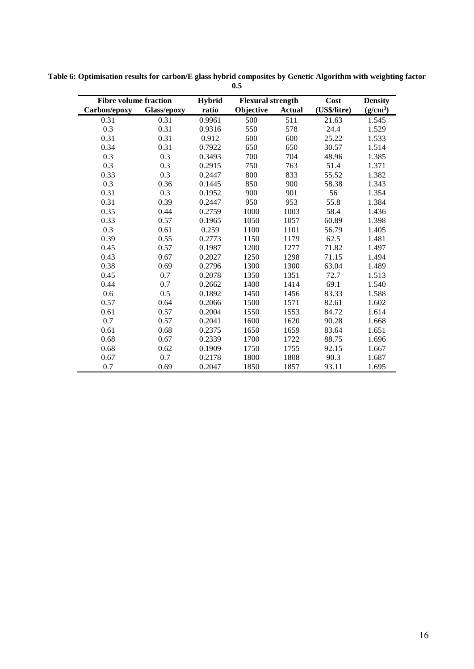| <b>Fibre volume fraction</b> |             | <b>Hybrid</b> | <b>Flexural strength</b> |               | Cost         | <b>Density</b> |
|------------------------------|-------------|---------------|--------------------------|---------------|--------------|----------------|
| Carbon/epoxy                 | Glass/epoxy | ratio         | Objective                | <b>Actual</b> | (US\$/litre) | $(g/cm^3)$     |
| 0.31                         | 0.31        | 0.9961        | 500                      | 511           | 21.63        | 1.545          |
| 0.3                          | 0.31        | 0.9316        | 550                      | 578           | 24.4         | 1.529          |
| 0.31                         | 0.31        | 0.912         | 600                      | 600           | 25.22        | 1.533          |
| 0.34                         | 0.31        | 0.7922        | 650                      | 650           | 30.57        | 1.514          |
| 0.3                          | 0.3         | 0.3493        | 700                      | 704           | 48.96        | 1.385          |
| 0.3                          | 0.3         | 0.2915        | 750                      | 763           | 51.4         | 1.371          |
| 0.33                         | 0.3         | 0.2447        | 800                      | 833           | 55.52        | 1.382          |
| 0.3                          | 0.36        | 0.1445        | 850                      | 900           | 58.38        | 1.343          |
| 0.31                         | 0.3         | 0.1952        | 900                      | 901           | 56           | 1.354          |
| 0.31                         | 0.39        | 0.2447        | 950                      | 953           | 55.8         | 1.384          |
| 0.35                         | 0.44        | 0.2759        | 1000                     | 1003          | 58.4         | 1.436          |
| 0.33                         | 0.57        | 0.1965        | 1050                     | 1057          | 60.89        | 1.398          |
| 0.3                          | 0.61        | 0.259         | 1100                     | 1101          | 56.79        | 1.405          |
| 0.39                         | 0.55        | 0.2773        | 1150                     | 1179          | 62.5         | 1.481          |
| 0.45                         | 0.57        | 0.1987        | 1200                     | 1277          | 71.82        | 1.497          |
| 0.43                         | 0.67        | 0.2027        | 1250                     | 1298          | 71.15        | 1.494          |
| 0.38                         | 0.69        | 0.2796        | 1300                     | 1300          | 63.04        | 1.489          |
| 0.45                         | 0.7         | 0.2078        | 1350                     | 1351          | 72.7         | 1.513          |
| 0.44                         | 0.7         | 0.2662        | 1400                     | 1414          | 69.1         | 1.540          |
| 0.6                          | 0.5         | 0.1892        | 1450                     | 1456          | 83.33        | 1.588          |
| 0.57                         | 0.64        | 0.2066        | 1500                     | 1571          | 82.61        | 1.602          |
| 0.61                         | 0.57        | 0.2004        | 1550                     | 1553          | 84.72        | 1.614          |
| 0.7                          | 0.57        | 0.2041        | 1600                     | 1620          | 90.28        | 1.668          |
| 0.61                         | 0.68        | 0.2375        | 1650                     | 1659          | 83.64        | 1.651          |
| 0.68                         | 0.67        | 0.2339        | 1700                     | 1722          | 88.75        | 1.696          |
| 0.68                         | 0.62        | 0.1909        | 1750                     | 1755          | 92.15        | 1.667          |
| 0.67                         | 0.7         | 0.2178        | 1800                     | 1808          | 90.3         | 1.687          |
| 0.7                          | 0.69        | 0.2047        | 1850                     | 1857          | 93.11        | 1.695          |

<span id="page-15-0"></span>**Table 6: Optimisation results for carbon/E glass hybrid composites by Genetic Algorithm with weighting factor 0.5**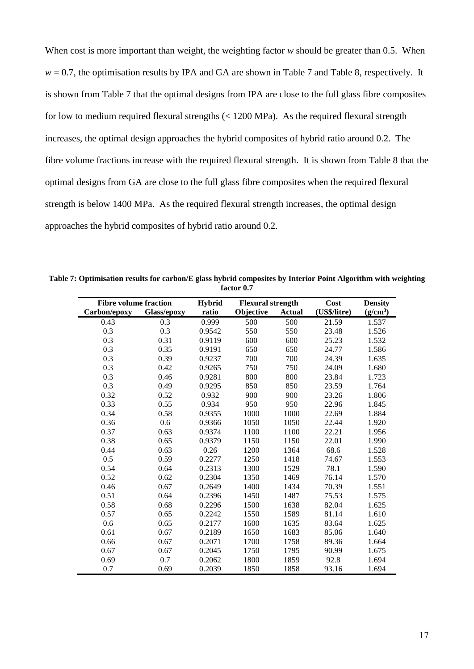When cost is more important than weight, the weighting factor *w* should be greater than 0.5. When  $w = 0.7$ , the optimisation results by IPA and GA are shown in [Table 7](#page-16-0) and [Table 8,](#page-17-0) respectively. It is shown from [Table 7](#page-16-0) that the optimal designs from IPA are close to the full glass fibre composites for low to medium required flexural strengths (< 1200 MPa). As the required flexural strength increases, the optimal design approaches the hybrid composites of hybrid ratio around 0.2. The fibre volume fractions increase with the required flexural strength. It is shown from [Table 8](#page-17-0) that the optimal designs from GA are close to the full glass fibre composites when the required flexural strength is below 1400 MPa. As the required flexural strength increases, the optimal design approaches the hybrid composites of hybrid ratio around 0.2.

<span id="page-16-0"></span>**Table 7: Optimisation results for carbon/E glass hybrid composites by Interior Point Algorithm with weighting factor 0.7**

| <b>Fibre volume fraction</b> |             | <b>Hybrid</b> | <b>Flexural strength</b> |               | Cost         | <b>Density</b>       |
|------------------------------|-------------|---------------|--------------------------|---------------|--------------|----------------------|
| Carbon/epoxy                 | Glass/epoxy | ratio         | Objective                | <b>Actual</b> | (US\$/litre) | (g/cm <sup>3</sup> ) |
| 0.43                         | 0.3         | 0.999         | 500                      | 500           | 21.59        | 1.537                |
| 0.3                          | 0.3         | 0.9542        | 550                      | 550           | 23.48        | 1.526                |
| 0.3                          | 0.31        | 0.9119        | 600                      | 600           | 25.23        | 1.532                |
| 0.3                          | 0.35        | 0.9191        | 650                      | 650           | 24.77        | 1.586                |
| 0.3                          | 0.39        | 0.9237        | 700                      | 700           | 24.39        | 1.635                |
| 0.3                          | 0.42        | 0.9265        | 750                      | 750           | 24.09        | 1.680                |
| 0.3                          | 0.46        | 0.9281        | 800                      | 800           | 23.84        | 1.723                |
| 0.3                          | 0.49        | 0.9295        | 850                      | 850           | 23.59        | 1.764                |
| 0.32                         | 0.52        | 0.932         | 900                      | 900           | 23.26        | 1.806                |
| 0.33                         | 0.55        | 0.934         | 950                      | 950           | 22.96        | 1.845                |
| 0.34                         | 0.58        | 0.9355        | 1000                     | 1000          | 22.69        | 1.884                |
| 0.36                         | 0.6         | 0.9366        | 1050                     | 1050          | 22.44        | 1.920                |
| 0.37                         | 0.63        | 0.9374        | 1100                     | 1100          | 22.21        | 1.956                |
| 0.38                         | 0.65        | 0.9379        | 1150                     | 1150          | 22.01        | 1.990                |
| 0.44                         | 0.63        | 0.26          | 1200                     | 1364          | 68.6         | 1.528                |
| 0.5                          | 0.59        | 0.2277        | 1250                     | 1418          | 74.67        | 1.553                |
| 0.54                         | 0.64        | 0.2313        | 1300                     | 1529          | 78.1         | 1.590                |
| 0.52                         | 0.62        | 0.2304        | 1350                     | 1469          | 76.14        | 1.570                |
| 0.46                         | 0.67        | 0.2649        | 1400                     | 1434          | 70.39        | 1.551                |
| 0.51                         | 0.64        | 0.2396        | 1450                     | 1487          | 75.53        | 1.575                |
| 0.58                         | 0.68        | 0.2296        | 1500                     | 1638          | 82.04        | 1.625                |
| 0.57                         | 0.65        | 0.2242        | 1550                     | 1589          | 81.14        | 1.610                |
| 0.6                          | 0.65        | 0.2177        | 1600                     | 1635          | 83.64        | 1.625                |
| 0.61                         | 0.67        | 0.2189        | 1650                     | 1683          | 85.06        | 1.640                |
| 0.66                         | 0.67        | 0.2071        | 1700                     | 1758          | 89.36        | 1.664                |
| 0.67                         | 0.67        | 0.2045        | 1750                     | 1795          | 90.99        | 1.675                |
| 0.69                         | 0.7         | 0.2062        | 1800                     | 1859          | 92.8         | 1.694                |
| 0.7                          | 0.69        | 0.2039        | 1850                     | 1858          | 93.16        | 1.694                |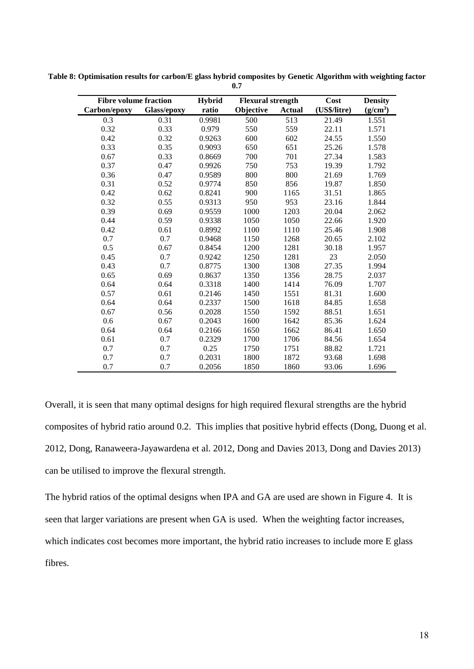| <b>Fibre volume fraction</b> |             | <b>Hybrid</b> |           | <b>Flexural strength</b> |              | <b>Density</b>       |
|------------------------------|-------------|---------------|-----------|--------------------------|--------------|----------------------|
| Carbon/epoxy                 | Glass/epoxy | ratio         | Objective | <b>Actual</b>            | (US\$/litre) | (g/cm <sup>3</sup> ) |
| 0.3                          | 0.31        | 0.9981        | 500       | 513                      | 21.49        | 1.551                |
| 0.32                         | 0.33        | 0.979         | 550       | 559                      | 22.11        | 1.571                |
| 0.42                         | 0.32        | 0.9263        | 600       | 602                      | 24.55        | 1.550                |
| 0.33                         | 0.35        | 0.9093        | 650       | 651                      | 25.26        | 1.578                |
| 0.67                         | 0.33        | 0.8669        | 700       | 701                      | 27.34        | 1.583                |
| 0.37                         | 0.47        | 0.9926        | 750       | 753                      | 19.39        | 1.792                |
| 0.36                         | 0.47        | 0.9589        | 800       | 800                      | 21.69        | 1.769                |
| 0.31                         | 0.52        | 0.9774        | 850       | 856                      | 19.87        | 1.850                |
| 0.42                         | 0.62        | 0.8241        | 900       | 1165                     | 31.51        | 1.865                |
| 0.32                         | 0.55        | 0.9313        | 950       | 953                      | 23.16        | 1.844                |
| 0.39                         | 0.69        | 0.9559        | 1000      | 1203                     | 20.04        | 2.062                |
| 0.44                         | 0.59        | 0.9338        | 1050      | 1050                     | 22.66        | 1.920                |
| 0.42                         | 0.61        | 0.8992        | 1100      | 1110                     | 25.46        | 1.908                |
| 0.7                          | 0.7         | 0.9468        | 1150      | 1268                     | 20.65        | 2.102                |
| 0.5                          | 0.67        | 0.8454        | 1200      | 1281                     | 30.18        | 1.957                |
| 0.45                         | 0.7         | 0.9242        | 1250      | 1281                     | 23           | 2.050                |
| 0.43                         | 0.7         | 0.8775        | 1300      | 1308                     | 27.35        | 1.994                |
| 0.65                         | 0.69        | 0.8637        | 1350      | 1356                     | 28.75        | 2.037                |
| 0.64                         | 0.64        | 0.3318        | 1400      | 1414                     | 76.09        | 1.707                |
| 0.57                         | 0.61        | 0.2146        | 1450      | 1551                     | 81.31        | 1.600                |
| 0.64                         | 0.64        | 0.2337        | 1500      | 1618                     | 84.85        | 1.658                |
| 0.67                         | 0.56        | 0.2028        | 1550      | 1592                     | 88.51        | 1.651                |
| 0.6                          | 0.67        | 0.2043        | 1600      | 1642                     | 85.36        | 1.624                |
| 0.64                         | 0.64        | 0.2166        | 1650      | 1662                     | 86.41        | 1.650                |
| 0.61                         | 0.7         | 0.2329        | 1700      | 1706                     | 84.56        | 1.654                |
| 0.7                          | 0.7         | 0.25          | 1750      | 1751                     | 88.82        | 1.721                |
| 0.7                          | 0.7         | 0.2031        | 1800      | 1872                     | 93.68        | 1.698                |
| 0.7                          | 0.7         | 0.2056        | 1850      | 1860                     | 93.06        | 1.696                |

<span id="page-17-0"></span>**Table 8: Optimisation results for carbon/E glass hybrid composites by Genetic Algorithm with weighting factor 0.7**

Overall, it is seen that many optimal designs for high required flexural strengths are the hybrid composites of hybrid ratio around 0.2. This implies that positive hybrid effects (Dong, Duong et al. 2012, Dong, Ranaweera-Jayawardena et al. 2012, Dong and Davies 2013, Dong and Davies 2013) can be utilised to improve the flexural strength.

The hybrid ratios of the optimal designs when IPA and GA are used are shown in [Figure 4.](#page-18-0) It is seen that larger variations are present when GA is used. When the weighting factor increases, which indicates cost becomes more important, the hybrid ratio increases to include more E glass fibres.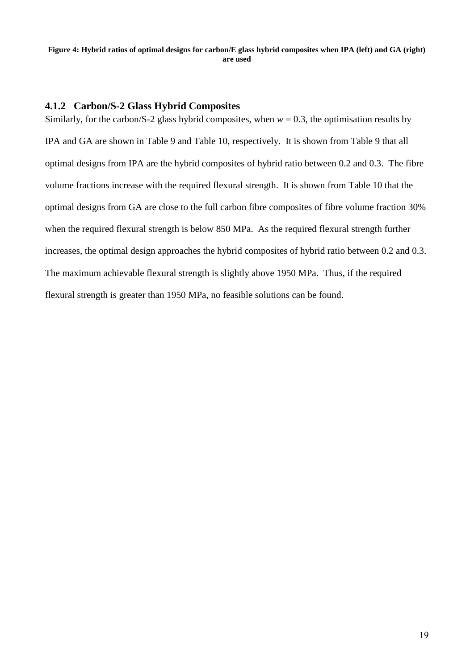#### <span id="page-18-0"></span>**Figure 4: Hybrid ratios of optimal designs for carbon/E glass hybrid composites when IPA (left) and GA (right) are used**

#### **4.1.2 Carbon/S-2 Glass Hybrid Composites**

Similarly, for the carbon/S-2 glass hybrid composites, when  $w = 0.3$ , the optimisation results by IPA and GA are shown in [Table 9](#page-19-0) and [Table 10,](#page-20-0) respectively. It is shown from [Table 9](#page-19-0) that all optimal designs from IPA are the hybrid composites of hybrid ratio between 0.2 and 0.3. The fibre volume fractions increase with the required flexural strength. It is shown from [Table 10](#page-20-0) that the optimal designs from GA are close to the full carbon fibre composites of fibre volume fraction 30% when the required flexural strength is below 850 MPa. As the required flexural strength further increases, the optimal design approaches the hybrid composites of hybrid ratio between 0.2 and 0.3. The maximum achievable flexural strength is slightly above 1950 MPa. Thus, if the required flexural strength is greater than 1950 MPa, no feasible solutions can be found.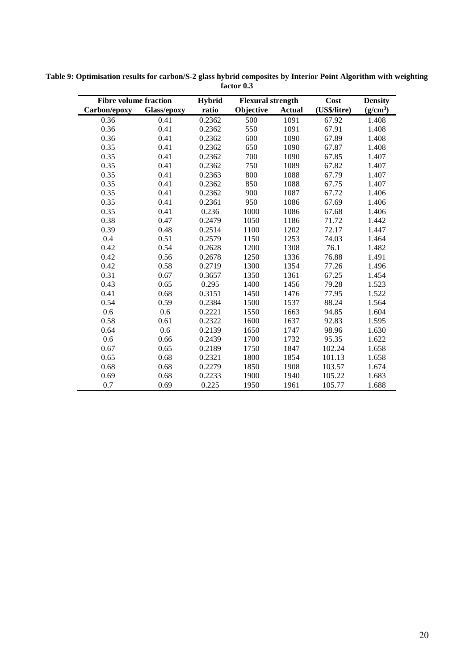| <b>Fibre volume fraction</b> |             | <b>Hybrid</b> | <b>Flexural strength</b> |               | Cost         | <b>Density</b>       |
|------------------------------|-------------|---------------|--------------------------|---------------|--------------|----------------------|
| Carbon/epoxy                 | Glass/epoxy | ratio         | Objective                | <b>Actual</b> | (US\$/litre) | (g/cm <sup>3</sup> ) |
| 0.36                         | 0.41        | 0.2362        | 500                      | 1091          | 67.92        | 1.408                |
| 0.36                         | 0.41        | 0.2362        | 550                      | 1091          | 67.91        | 1.408                |
| 0.36                         | 0.41        | 0.2362        | 600                      | 1090          | 67.89        | 1.408                |
| 0.35                         | 0.41        | 0.2362        | 650                      | 1090          | 67.87        | 1.408                |
| 0.35                         | 0.41        | 0.2362        | 700                      | 1090          | 67.85        | 1.407                |
| 0.35                         | 0.41        | 0.2362        | 750                      | 1089          | 67.82        | 1.407                |
| 0.35                         | 0.41        | 0.2363        | 800                      | 1088          | 67.79        | 1.407                |
| 0.35                         | 0.41        | 0.2362        | 850                      | 1088          | 67.75        | 1.407                |
| 0.35                         | 0.41        | 0.2362        | 900                      | 1087          | 67.72        | 1.406                |
| 0.35                         | 0.41        | 0.2361        | 950                      | 1086          | 67.69        | 1.406                |
| 0.35                         | 0.41        | 0.236         | 1000                     | 1086          | 67.68        | 1.406                |
| 0.38                         | 0.47        | 0.2479        | 1050                     | 1186          | 71.72        | 1.442                |
| 0.39                         | 0.48        | 0.2514        | 1100                     | 1202          | 72.17        | 1.447                |
| 0.4                          | 0.51        | 0.2579        | 1150                     | 1253          | 74.03        | 1.464                |
| 0.42                         | 0.54        | 0.2628        | 1200                     | 1308          | 76.1         | 1.482                |
| 0.42                         | 0.56        | 0.2678        | 1250                     | 1336          | 76.88        | 1.491                |
| 0.42                         | 0.58        | 0.2719        | 1300                     | 1354          | 77.26        | 1.496                |
| 0.31                         | 0.67        | 0.3657        | 1350                     | 1361          | 67.25        | 1.454                |
| 0.43                         | 0.65        | 0.295         | 1400                     | 1456          | 79.28        | 1.523                |
| 0.41                         | 0.68        | 0.3151        | 1450                     | 1476          | 77.95        | 1.522                |
| 0.54                         | 0.59        | 0.2384        | 1500                     | 1537          | 88.24        | 1.564                |
| 0.6                          | 0.6         | 0.2221        | 1550                     | 1663          | 94.85        | 1.604                |
| 0.58                         | 0.61        | 0.2322        | 1600                     | 1637          | 92.83        | 1.595                |
| 0.64                         | 0.6         | 0.2139        | 1650                     | 1747          | 98.96        | 1.630                |
| 0.6                          | 0.66        | 0.2439        | 1700                     | 1732          | 95.35        | 1.622                |
| 0.67                         | 0.65        | 0.2189        | 1750                     | 1847          | 102.24       | 1.658                |
| 0.65                         | 0.68        | 0.2321        | 1800                     | 1854          | 101.13       | 1.658                |
| 0.68                         | 0.68        | 0.2279        | 1850                     | 1908          | 103.57       | 1.674                |
| 0.69                         | 0.68        | 0.2233        | 1900                     | 1940          | 105.22       | 1.683                |
| 0.7                          | 0.69        | 0.225         | 1950                     | 1961          | 105.77       | 1.688                |

<span id="page-19-0"></span>**Table 9: Optimisation results for carbon/S-2 glass hybrid composites by Interior Point Algorithm with weighting factor 0.3**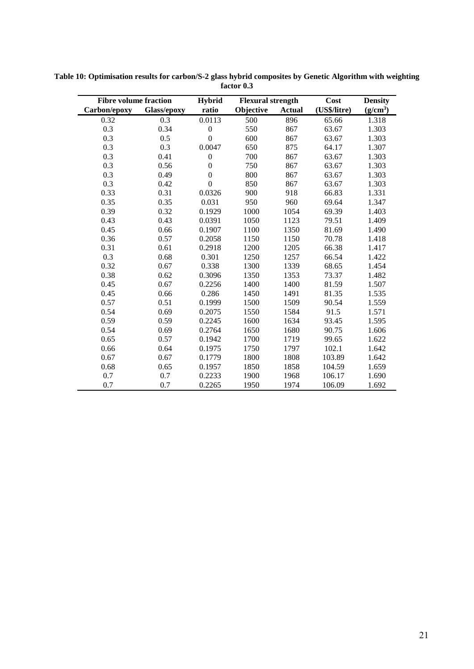| <b>Fibre volume fraction</b> |             | <b>Hybrid</b>    | <b>Flexural strength</b> |               | Cost         | <b>Density</b> |
|------------------------------|-------------|------------------|--------------------------|---------------|--------------|----------------|
| Carbon/epoxy                 | Glass/epoxy | ratio            | Objective                | <b>Actual</b> | (US\$/litre) | $(g/cm^3)$     |
| 0.32                         | 0.3         | 0.0113           | 500                      | 896           | 65.66        | 1.318          |
| 0.3                          | 0.34        | $\boldsymbol{0}$ | 550                      | 867           | 63.67        | 1.303          |
| 0.3                          | 0.5         | $\overline{0}$   | 600                      | 867           | 63.67        | 1.303          |
| 0.3                          | 0.3         | 0.0047           | 650                      | 875           | 64.17        | 1.307          |
| 0.3                          | 0.41        | $\boldsymbol{0}$ | 700                      | 867           | 63.67        | 1.303          |
| 0.3                          | 0.56        | $\boldsymbol{0}$ | 750                      | 867           | 63.67        | 1.303          |
| 0.3                          | 0.49        | $\boldsymbol{0}$ | 800                      | 867           | 63.67        | 1.303          |
| 0.3                          | 0.42        | $\overline{0}$   | 850                      | 867           | 63.67        | 1.303          |
| 0.33                         | 0.31        | 0.0326           | 900                      | 918           | 66.83        | 1.331          |
| 0.35                         | 0.35        | 0.031            | 950                      | 960           | 69.64        | 1.347          |
| 0.39                         | 0.32        | 0.1929           | 1000                     | 1054          | 69.39        | 1.403          |
| 0.43                         | 0.43        | 0.0391           | 1050                     | 1123          | 79.51        | 1.409          |
| 0.45                         | 0.66        | 0.1907           | 1100                     | 1350          | 81.69        | 1.490          |
| 0.36                         | 0.57        | 0.2058           | 1150                     | 1150          | 70.78        | 1.418          |
| 0.31                         | 0.61        | 0.2918           | 1200                     | 1205          | 66.38        | 1.417          |
| 0.3                          | 0.68        | 0.301            | 1250                     | 1257          | 66.54        | 1.422          |
| 0.32                         | 0.67        | 0.338            | 1300                     | 1339          | 68.65        | 1.454          |
| 0.38                         | 0.62        | 0.3096           | 1350                     | 1353          | 73.37        | 1.482          |
| 0.45                         | 0.67        | 0.2256           | 1400                     | 1400          | 81.59        | 1.507          |
| 0.45                         | 0.66        | 0.286            | 1450                     | 1491          | 81.35        | 1.535          |
| 0.57                         | 0.51        | 0.1999           | 1500                     | 1509          | 90.54        | 1.559          |
| 0.54                         | 0.69        | 0.2075           | 1550                     | 1584          | 91.5         | 1.571          |
| 0.59                         | 0.59        | 0.2245           | 1600                     | 1634          | 93.45        | 1.595          |
| 0.54                         | 0.69        | 0.2764           | 1650                     | 1680          | 90.75        | 1.606          |
| 0.65                         | 0.57        | 0.1942           | 1700                     | 1719          | 99.65        | 1.622          |
| 0.66                         | 0.64        | 0.1975           | 1750                     | 1797          | 102.1        | 1.642          |
| 0.67                         | 0.67        | 0.1779           | 1800                     | 1808          | 103.89       | 1.642          |
| 0.68                         | 0.65        | 0.1957           | 1850                     | 1858          | 104.59       | 1.659          |
| 0.7                          | 0.7         | 0.2233           | 1900                     | 1968          | 106.17       | 1.690          |
| 0.7                          | 0.7         | 0.2265           | 1950                     | 1974          | 106.09       | 1.692          |

<span id="page-20-0"></span>**Table 10: Optimisation results for carbon/S-2 glass hybrid composites by Genetic Algorithm with weighting factor 0.3**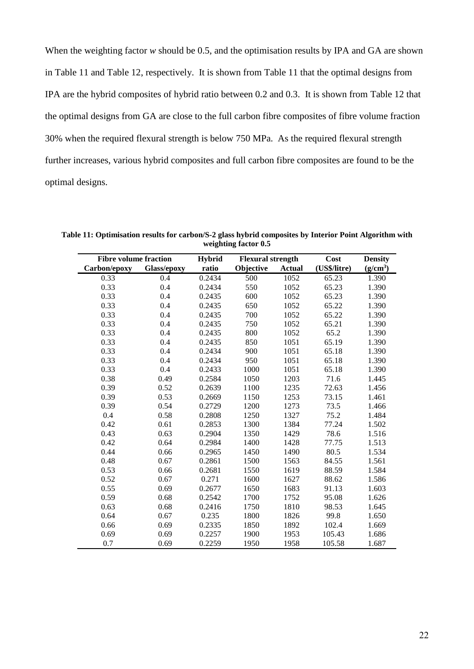When the weighting factor *w* should be 0.5, and the optimisation results by IPA and GA are shown in [Table 11](#page-21-0) and [Table 12,](#page-22-0) respectively. It is shown from [Table 11](#page-21-0) that the optimal designs from IPA are the hybrid composites of hybrid ratio between 0.2 and 0.3. It is shown from [Table 12](#page-22-0) that the optimal designs from GA are close to the full carbon fibre composites of fibre volume fraction 30% when the required flexural strength is below 750 MPa. As the required flexural strength further increases, various hybrid composites and full carbon fibre composites are found to be the optimal designs.

| <b>Fibre volume fraction</b> |             | <b>Hybrid</b> | <b>Flexural strength</b> |               | Cost         | <b>Density</b>       |
|------------------------------|-------------|---------------|--------------------------|---------------|--------------|----------------------|
| Carbon/epoxy                 | Glass/epoxy | ratio         | Objective                | <b>Actual</b> | (US\$/litre) | (g/cm <sup>3</sup> ) |
| 0.33                         | 0.4         | 0.2434        | 500                      | 1052          | 65.23        | 1.390                |
| 0.33                         | 0.4         | 0.2434        | 550                      | 1052          | 65.23        | 1.390                |
| 0.33                         | 0.4         | 0.2435        | 600                      | 1052          | 65.23        | 1.390                |
| 0.33                         | 0.4         | 0.2435        | 650                      | 1052          | 65.22        | 1.390                |
| 0.33                         | 0.4         | 0.2435        | 700                      | 1052          | 65.22        | 1.390                |
| 0.33                         | 0.4         | 0.2435        | 750                      | 1052          | 65.21        | 1.390                |
| 0.33                         | 0.4         | 0.2435        | 800                      | 1052          | 65.2         | 1.390                |
| 0.33                         | 0.4         | 0.2435        | 850                      | 1051          | 65.19        | 1.390                |
| 0.33                         | 0.4         | 0.2434        | 900                      | 1051          | 65.18        | 1.390                |
| 0.33                         | 0.4         | 0.2434        | 950                      | 1051          | 65.18        | 1.390                |
| 0.33                         | 0.4         | 0.2433        | 1000                     | 1051          | 65.18        | 1.390                |
| 0.38                         | 0.49        | 0.2584        | 1050                     | 1203          | 71.6         | 1.445                |
| 0.39                         | 0.52        | 0.2639        | 1100                     | 1235          | 72.63        | 1.456                |
| 0.39                         | 0.53        | 0.2669        | 1150                     | 1253          | 73.15        | 1.461                |
| 0.39                         | 0.54        | 0.2729        | 1200                     | 1273          | 73.5         | 1.466                |
| 0.4                          | 0.58        | 0.2808        | 1250                     | 1327          | 75.2         | 1.484                |
| 0.42                         | 0.61        | 0.2853        | 1300                     | 1384          | 77.24        | 1.502                |
| 0.43                         | 0.63        | 0.2904        | 1350                     | 1429          | 78.6         | 1.516                |
| 0.42                         | 0.64        | 0.2984        | 1400                     | 1428          | 77.75        | 1.513                |
| 0.44                         | 0.66        | 0.2965        | 1450                     | 1490          | 80.5         | 1.534                |
| 0.48                         | 0.67        | 0.2861        | 1500                     | 1563          | 84.55        | 1.561                |
| 0.53                         | 0.66        | 0.2681        | 1550                     | 1619          | 88.59        | 1.584                |
| 0.52                         | 0.67        | 0.271         | 1600                     | 1627          | 88.62        | 1.586                |
| 0.55                         | 0.69        | 0.2677        | 1650                     | 1683          | 91.13        | 1.603                |
| 0.59                         | 0.68        | 0.2542        | 1700                     | 1752          | 95.08        | 1.626                |
| 0.63                         | 0.68        | 0.2416        | 1750                     | 1810          | 98.53        | 1.645                |
| 0.64                         | 0.67        | 0.235         | 1800                     | 1826          | 99.8         | 1.650                |
| 0.66                         | 0.69        | 0.2335        | 1850                     | 1892          | 102.4        | 1.669                |
| 0.69                         | 0.69        | 0.2257        | 1900                     | 1953          | 105.43       | 1.686                |
| 0.7                          | 0.69        | 0.2259        | 1950                     | 1958          | 105.58       | 1.687                |

<span id="page-21-0"></span>**Table 11: Optimisation results for carbon/S-2 glass hybrid composites by Interior Point Algorithm with weighting factor 0.5**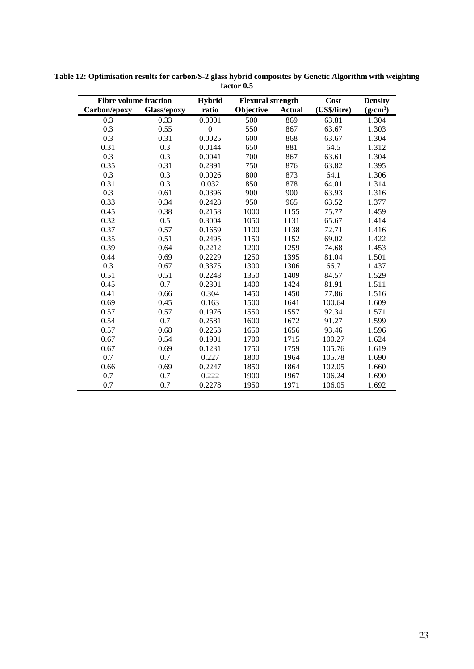| <b>Fibre volume fraction</b> |             | <b>Hybrid</b>    | <b>Flexural strength</b> |               | Cost         | <b>Density</b> |
|------------------------------|-------------|------------------|--------------------------|---------------|--------------|----------------|
| Carbon/epoxy                 | Glass/epoxy | ratio            | Objective                | <b>Actual</b> | (US\$/litre) | $(g/cm^3)$     |
| 0.3                          | 0.33        | 0.0001           | 500                      | 869           | 63.81        | 1.304          |
| 0.3                          | 0.55        | $\boldsymbol{0}$ | 550                      | 867           | 63.67        | 1.303          |
| 0.3                          | 0.31        | 0.0025           | 600                      | 868           | 63.67        | 1.304          |
| 0.31                         | 0.3         | 0.0144           | 650                      | 881           | 64.5         | 1.312          |
| 0.3                          | 0.3         | 0.0041           | 700                      | 867           | 63.61        | 1.304          |
| 0.35                         | 0.31        | 0.2891           | 750                      | 876           | 63.82        | 1.395          |
| 0.3                          | 0.3         | 0.0026           | 800                      | 873           | 64.1         | 1.306          |
| 0.31                         | 0.3         | 0.032            | 850                      | 878           | 64.01        | 1.314          |
| 0.3                          | 0.61        | 0.0396           | 900                      | 900           | 63.93        | 1.316          |
| 0.33                         | 0.34        | 0.2428           | 950                      | 965           | 63.52        | 1.377          |
| 0.45                         | 0.38        | 0.2158           | 1000                     | 1155          | 75.77        | 1.459          |
| 0.32                         | 0.5         | 0.3004           | 1050                     | 1131          | 65.67        | 1.414          |
| 0.37                         | 0.57        | 0.1659           | 1100                     | 1138          | 72.71        | 1.416          |
| 0.35                         | 0.51        | 0.2495           | 1150                     | 1152          | 69.02        | 1.422          |
| 0.39                         | 0.64        | 0.2212           | 1200                     | 1259          | 74.68        | 1.453          |
| 0.44                         | 0.69        | 0.2229           | 1250                     | 1395          | 81.04        | 1.501          |
| 0.3                          | 0.67        | 0.3375           | 1300                     | 1306          | 66.7         | 1.437          |
| 0.51                         | 0.51        | 0.2248           | 1350                     | 1409          | 84.57        | 1.529          |
| 0.45                         | 0.7         | 0.2301           | 1400                     | 1424          | 81.91        | 1.511          |
| 0.41                         | 0.66        | 0.304            | 1450                     | 1450          | 77.86        | 1.516          |
| 0.69                         | 0.45        | 0.163            | 1500                     | 1641          | 100.64       | 1.609          |
| 0.57                         | 0.57        | 0.1976           | 1550                     | 1557          | 92.34        | 1.571          |
| 0.54                         | 0.7         | 0.2581           | 1600                     | 1672          | 91.27        | 1.599          |
| 0.57                         | 0.68        | 0.2253           | 1650                     | 1656          | 93.46        | 1.596          |
| 0.67                         | 0.54        | 0.1901           | 1700                     | 1715          | 100.27       | 1.624          |
| 0.67                         | 0.69        | 0.1231           | 1750                     | 1759          | 105.76       | 1.619          |
| 0.7                          | 0.7         | 0.227            | 1800                     | 1964          | 105.78       | 1.690          |
| 0.66                         | 0.69        | 0.2247           | 1850                     | 1864          | 102.05       | 1.660          |
| 0.7                          | 0.7         | 0.222            | 1900                     | 1967          | 106.24       | 1.690          |
| 0.7                          | 0.7         | 0.2278           | 1950                     | 1971          | 106.05       | 1.692          |

<span id="page-22-0"></span>**Table 12: Optimisation results for carbon/S-2 glass hybrid composites by Genetic Algorithm with weighting factor 0.5**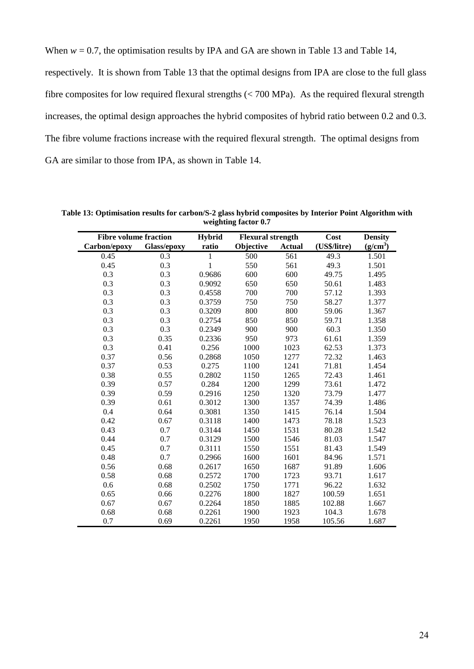When  $w = 0.7$ , the optimisation results by IPA and GA are shown in [Table 13](#page-23-0) and [Table 14,](#page-24-0)

respectively. It is shown from [Table 13](#page-23-0) that the optimal designs from IPA are close to the full glass fibre composites for low required flexural strengths  $( $700 \text{ MPa}$ ). As the required flexural strength$ increases, the optimal design approaches the hybrid composites of hybrid ratio between 0.2 and 0.3. The fibre volume fractions increase with the required flexural strength. The optimal designs from GA are similar to those from IPA, as shown in [Table 14.](#page-24-0)

| <b>Fibre volume fraction</b> |             | Hybrid | <b>Flexural strength</b> |               | Cost         | <b>Density</b> |
|------------------------------|-------------|--------|--------------------------|---------------|--------------|----------------|
| Carbon/epoxy                 | Glass/epoxy | ratio  | Objective                | <b>Actual</b> | (US\$/litre) | $(g/cm^3)$     |
| 0.45                         | 0.3         | 1      | 500                      | 561           | 49.3         | 1.501          |
| 0.45                         | 0.3         | 1      | 550                      | 561           | 49.3         | 1.501          |
| 0.3                          | 0.3         | 0.9686 | 600                      | 600           | 49.75        | 1.495          |
| 0.3                          | 0.3         | 0.9092 | 650                      | 650           | 50.61        | 1.483          |
| 0.3                          | 0.3         | 0.4558 | 700                      | 700           | 57.12        | 1.393          |
| 0.3                          | 0.3         | 0.3759 | 750                      | 750           | 58.27        | 1.377          |
| 0.3                          | 0.3         | 0.3209 | 800                      | 800           | 59.06        | 1.367          |
| 0.3                          | 0.3         | 0.2754 | 850                      | 850           | 59.71        | 1.358          |
| 0.3                          | 0.3         | 0.2349 | 900                      | 900           | 60.3         | 1.350          |
| 0.3                          | 0.35        | 0.2336 | 950                      | 973           | 61.61        | 1.359          |
| 0.3                          | 0.41        | 0.256  | 1000                     | 1023          | 62.53        | 1.373          |
| 0.37                         | 0.56        | 0.2868 | 1050                     | 1277          | 72.32        | 1.463          |
| 0.37                         | 0.53        | 0.275  | 1100                     | 1241          | 71.81        | 1.454          |
| 0.38                         | 0.55        | 0.2802 | 1150                     | 1265          | 72.43        | 1.461          |
| 0.39                         | 0.57        | 0.284  | 1200                     | 1299          | 73.61        | 1.472          |
| 0.39                         | 0.59        | 0.2916 | 1250                     | 1320          | 73.79        | 1.477          |
| 0.39                         | 0.61        | 0.3012 | 1300                     | 1357          | 74.39        | 1.486          |
| 0.4                          | 0.64        | 0.3081 | 1350                     | 1415          | 76.14        | 1.504          |
| 0.42                         | 0.67        | 0.3118 | 1400                     | 1473          | 78.18        | 1.523          |
| 0.43                         | 0.7         | 0.3144 | 1450                     | 1531          | 80.28        | 1.542          |
| 0.44                         | 0.7         | 0.3129 | 1500                     | 1546          | 81.03        | 1.547          |
| 0.45                         | 0.7         | 0.3111 | 1550                     | 1551          | 81.43        | 1.549          |
| 0.48                         | 0.7         | 0.2966 | 1600                     | 1601          | 84.96        | 1.571          |
| 0.56                         | 0.68        | 0.2617 | 1650                     | 1687          | 91.89        | 1.606          |
| 0.58                         | 0.68        | 0.2572 | 1700                     | 1723          | 93.71        | 1.617          |
| 0.6                          | 0.68        | 0.2502 | 1750                     | 1771          | 96.22        | 1.632          |
| 0.65                         | 0.66        | 0.2276 | 1800                     | 1827          | 100.59       | 1.651          |
| 0.67                         | 0.67        | 0.2264 | 1850                     | 1885          | 102.88       | 1.667          |
| 0.68                         | 0.68        | 0.2261 | 1900                     | 1923          | 104.3        | 1.678          |
| 0.7                          | 0.69        | 0.2261 | 1950                     | 1958          | 105.56       | 1.687          |

<span id="page-23-0"></span>**Table 13: Optimisation results for carbon/S-2 glass hybrid composites by Interior Point Algorithm with weighting factor 0.7**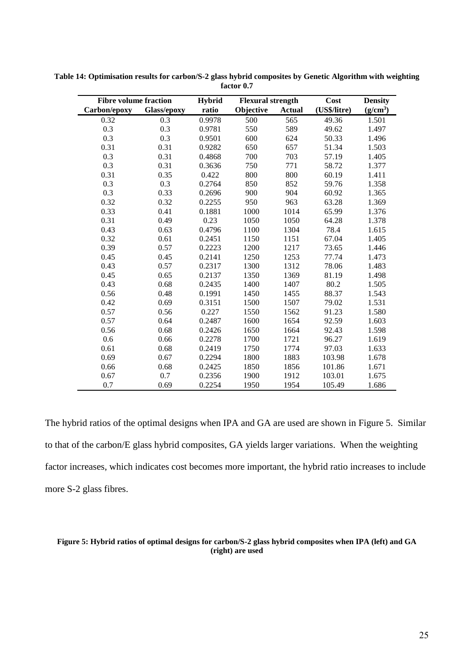| <b>Fibre volume fraction</b> |             | <b>Hybrid</b> | <b>Flexural strength</b> |               | Cost         | <b>Density</b> |
|------------------------------|-------------|---------------|--------------------------|---------------|--------------|----------------|
| Carbon/epoxy                 | Glass/epoxy | ratio         | Objective                | <b>Actual</b> | (US\$/litre) | $(g/cm^3)$     |
| 0.32                         | 0.3         | 0.9978        | 500                      | 565           | 49.36        | 1.501          |
| 0.3                          | 0.3         | 0.9781        | 550                      | 589           | 49.62        | 1.497          |
| 0.3                          | 0.3         | 0.9501        | 600                      | 624           | 50.33        | 1.496          |
| 0.31                         | 0.31        | 0.9282        | 650                      | 657           | 51.34        | 1.503          |
| 0.3                          | 0.31        | 0.4868        | 700                      | 703           | 57.19        | 1.405          |
| 0.3                          | 0.31        | 0.3636        | 750                      | 771           | 58.72        | 1.377          |
| 0.31                         | 0.35        | 0.422         | 800                      | 800           | 60.19        | 1.411          |
| 0.3                          | 0.3         | 0.2764        | 850                      | 852           | 59.76        | 1.358          |
| 0.3                          | 0.33        | 0.2696        | 900                      | 904           | 60.92        | 1.365          |
| 0.32                         | 0.32        | 0.2255        | 950                      | 963           | 63.28        | 1.369          |
| 0.33                         | 0.41        | 0.1881        | 1000                     | 1014          | 65.99        | 1.376          |
| 0.31                         | 0.49        | 0.23          | 1050                     | 1050          | 64.28        | 1.378          |
| 0.43                         | 0.63        | 0.4796        | 1100                     | 1304          | 78.4         | 1.615          |
| 0.32                         | 0.61        | 0.2451        | 1150                     | 1151          | 67.04        | 1.405          |
| 0.39                         | 0.57        | 0.2223        | 1200                     | 1217          | 73.65        | 1.446          |
| 0.45                         | 0.45        | 0.2141        | 1250                     | 1253          | 77.74        | 1.473          |
| 0.43                         | 0.57        | 0.2317        | 1300                     | 1312          | 78.06        | 1.483          |
| 0.45                         | 0.65        | 0.2137        | 1350                     | 1369          | 81.19        | 1.498          |
| 0.43                         | 0.68        | 0.2435        | 1400                     | 1407          | 80.2         | 1.505          |
| 0.56                         | 0.48        | 0.1991        | 1450                     | 1455          | 88.37        | 1.543          |
| 0.42                         | 0.69        | 0.3151        | 1500                     | 1507          | 79.02        | 1.531          |
| 0.57                         | 0.56        | 0.227         | 1550                     | 1562          | 91.23        | 1.580          |
| 0.57                         | 0.64        | 0.2487        | 1600                     | 1654          | 92.59        | 1.603          |
| 0.56                         | 0.68        | 0.2426        | 1650                     | 1664          | 92.43        | 1.598          |
| 0.6                          | 0.66        | 0.2278        | 1700                     | 1721          | 96.27        | 1.619          |
| 0.61                         | 0.68        | 0.2419        | 1750                     | 1774          | 97.03        | 1.633          |
| 0.69                         | 0.67        | 0.2294        | 1800                     | 1883          | 103.98       | 1.678          |
| 0.66                         | 0.68        | 0.2425        | 1850                     | 1856          | 101.86       | 1.671          |
| 0.67                         | 0.7         | 0.2356        | 1900                     | 1912          | 103.01       | 1.675          |
| 0.7                          | 0.69        | 0.2254        | 1950                     | 1954          | 105.49       | 1.686          |

<span id="page-24-0"></span>**Table 14: Optimisation results for carbon/S-2 glass hybrid composites by Genetic Algorithm with weighting factor 0.7**

The hybrid ratios of the optimal designs when IPA and GA are used are shown in [Figure 5.](#page-24-1) Similar to that of the carbon/E glass hybrid composites, GA yields larger variations. When the weighting factor increases, which indicates cost becomes more important, the hybrid ratio increases to include more S-2 glass fibres.

#### <span id="page-24-1"></span>**Figure 5: Hybrid ratios of optimal designs for carbon/S-2 glass hybrid composites when IPA (left) and GA (right) are used**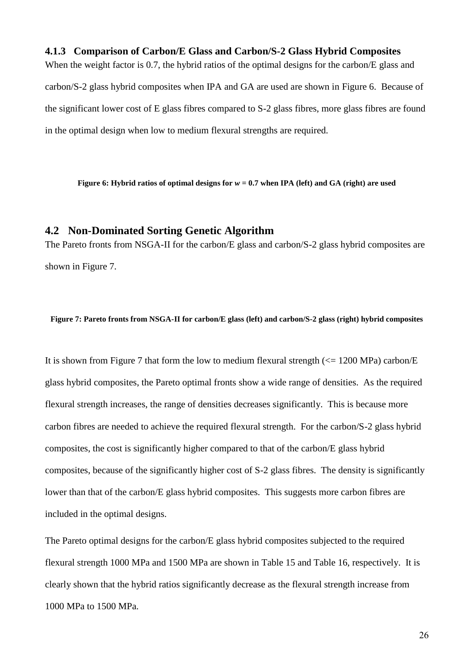#### **4.1.3 Comparison of Carbon/E Glass and Carbon/S-2 Glass Hybrid Composites**

When the weight factor is 0.7, the hybrid ratios of the optimal designs for the carbon/E glass and carbon/S-2 glass hybrid composites when IPA and GA are used are shown in [Figure 6.](#page-25-0) Because of the significant lower cost of E glass fibres compared to S-2 glass fibres, more glass fibres are found in the optimal design when low to medium flexural strengths are required.

<span id="page-25-0"></span>**Figure 6: Hybrid ratios of optimal designs for** *w* **= 0.7 when IPA (left) and GA (right) are used**

### **4.2 Non-Dominated Sorting Genetic Algorithm**

The Pareto fronts from NSGA-II for the carbon/E glass and carbon/S-2 glass hybrid composites are shown in [Figure 7.](#page-25-1)

<span id="page-25-1"></span>**Figure 7: Pareto fronts from NSGA-II for carbon/E glass (left) and carbon/S-2 glass (right) hybrid composites**

It is shown from [Figure 7](#page-25-1) that form the low to medium flexural strength  $\ll$  1200 MPa) carbon/E glass hybrid composites, the Pareto optimal fronts show a wide range of densities. As the required flexural strength increases, the range of densities decreases significantly. This is because more carbon fibres are needed to achieve the required flexural strength. For the carbon/S-2 glass hybrid composites, the cost is significantly higher compared to that of the carbon/E glass hybrid composites, because of the significantly higher cost of S-2 glass fibres. The density is significantly lower than that of the carbon/E glass hybrid composites. This suggests more carbon fibres are included in the optimal designs.

The Pareto optimal designs for the carbon/E glass hybrid composites subjected to the required flexural strength 1000 MPa and 1500 MPa are shown in [Table 15](#page-26-0) and [Table 16,](#page-26-1) respectively. It is clearly shown that the hybrid ratios significantly decrease as the flexural strength increase from 1000 MPa to 1500 MPa.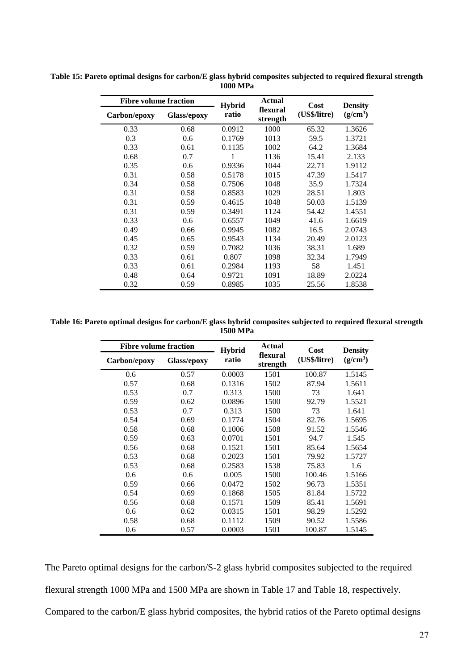| <b>Fibre volume fraction</b> |             | <b>Hybrid</b> | Actual               | Cost         | <b>Density</b> |
|------------------------------|-------------|---------------|----------------------|--------------|----------------|
| Carbon/epoxy                 | Glass/epoxy | ratio         | flexural<br>strength | (US\$/litre) | $(g/cm^3)$     |
| 0.33                         | 0.68        | 0.0912        | 1000                 | 65.32        | 1.3626         |
| 0.3                          | 0.6         | 0.1769        | 1013                 | 59.5         | 1.3721         |
| 0.33                         | 0.61        | 0.1135        | 1002                 | 64.2         | 1.3684         |
| 0.68                         | 0.7         | 1             | 1136                 | 15.41        | 2.133          |
| 0.35                         | 0.6         | 0.9336        | 1044                 | 22.71        | 1.9112         |
| 0.31                         | 0.58        | 0.5178        | 1015                 | 47.39        | 1.5417         |
| 0.34                         | 0.58        | 0.7506        | 1048                 | 35.9         | 1.7324         |
| 0.31                         | 0.58        | 0.8583        | 1029                 | 28.51        | 1.803          |
| 0.31                         | 0.59        | 0.4615        | 1048                 | 50.03        | 1.5139         |
| 0.31                         | 0.59        | 0.3491        | 1124                 | 54.42        | 1.4551         |
| 0.33                         | 0.6         | 0.6557        | 1049                 | 41.6         | 1.6619         |
| 0.49                         | 0.66        | 0.9945        | 1082                 | 16.5         | 2.0743         |
| 0.45                         | 0.65        | 0.9543        | 1134                 | 20.49        | 2.0123         |
| 0.32                         | 0.59        | 0.7082        | 1036                 | 38.31        | 1.689          |
| 0.33                         | 0.61        | 0.807         | 1098                 | 32.34        | 1.7949         |
| 0.33                         | 0.61        | 0.2984        | 1193                 | 58           | 1.451          |
| 0.48                         | 0.64        | 0.9721        | 1091                 | 18.89        | 2.0224         |
| 0.32                         | 0.59        | 0.8985        | 1035                 | 25.56        | 1.8538         |

<span id="page-26-0"></span>**Table 15: Pareto optimal designs for carbon/E glass hybrid composites subjected to required flexural strength 1000 MPa**

<span id="page-26-1"></span>**Table 16: Pareto optimal designs for carbon/E glass hybrid composites subjected to required flexural strength 1500 MPa**

| <b>Fibre volume fraction</b> |                    | <b>Hybrid</b> | Actual               | Cost         | <b>Density</b> |
|------------------------------|--------------------|---------------|----------------------|--------------|----------------|
| Carbon/epoxy                 | <b>Glass/epoxy</b> | ratio         | flexural<br>strength | (US\$/litre) | $(g/cm^3)$     |
| 0.6                          | 0.57               | 0.0003        | 1501                 | 100.87       | 1.5145         |
| 0.57                         | 0.68               | 0.1316        | 1502                 | 87.94        | 1.5611         |
| 0.53                         | 0.7                | 0.313         | 1500                 | 73           | 1.641          |
| 0.59                         | 0.62               | 0.0896        | 1500                 | 92.79        | 1.5521         |
| 0.53                         | 0.7                | 0.313         | 1500                 | 73           | 1.641          |
| 0.54                         | 0.69               | 0.1774        | 1504                 | 82.76        | 1.5695         |
| 0.58                         | 0.68               | 0.1006        | 1508                 | 91.52        | 1.5546         |
| 0.59                         | 0.63               | 0.0701        | 1501                 | 94.7         | 1.545          |
| 0.56                         | 0.68               | 0.1521        | 1501                 | 85.64        | 1.5654         |
| 0.53                         | 0.68               | 0.2023        | 1501                 | 79.92        | 1.5727         |
| 0.53                         | 0.68               | 0.2583        | 1538                 | 75.83        | 1.6            |
| 0.6                          | 0.6                | 0.005         | 1500                 | 100.46       | 1.5166         |
| 0.59                         | 0.66               | 0.0472        | 1502                 | 96.73        | 1.5351         |
| 0.54                         | 0.69               | 0.1868        | 1505                 | 81.84        | 1.5722         |
| 0.56                         | 0.68               | 0.1571        | 1509                 | 85.41        | 1.5691         |
| 0.6                          | 0.62               | 0.0315        | 1501                 | 98.29        | 1.5292         |
| 0.58                         | 0.68               | 0.1112        | 1509                 | 90.52        | 1.5586         |
| 0.6                          | 0.57               | 0.0003        | 1501                 | 100.87       | 1.5145         |

The Pareto optimal designs for the carbon/S-2 glass hybrid composites subjected to the required flexural strength 1000 MPa and 1500 MPa are shown in [Table 17](#page-27-0) and [Table 18,](#page-27-1) respectively. Compared to the carbon/E glass hybrid composites, the hybrid ratios of the Pareto optimal designs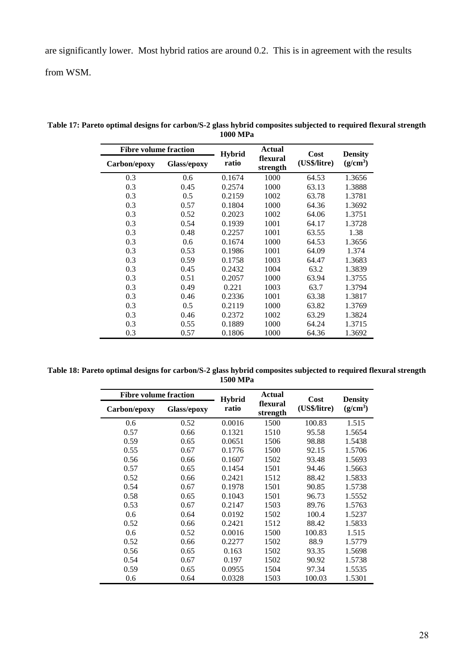are significantly lower. Most hybrid ratios are around 0.2. This is in agreement with the results

from WSM.

| <b>Fibre volume fraction</b> |             | <b>Hybrid</b> | Actual               | Cost         | <b>Density</b> |  |
|------------------------------|-------------|---------------|----------------------|--------------|----------------|--|
| Carbon/epoxy                 | Glass/epoxy | ratio         | flexural<br>strength | (US\$/litre) | $(g/cm^3)$     |  |
| 0.3                          | 0.6         | 0.1674        | 1000                 | 64.53        | 1.3656         |  |
| 0.3                          | 0.45        | 0.2574        | 1000                 | 63.13        | 1.3888         |  |
| 0.3                          | 0.5         | 0.2159        | 1002                 | 63.78        | 1.3781         |  |
| 0.3                          | 0.57        | 0.1804        | 1000                 | 64.36        | 1.3692         |  |
| 0.3                          | 0.52        | 0.2023        | 1002                 | 64.06        | 1.3751         |  |
| 0.3                          | 0.54        | 0.1939        | 1001                 | 64.17        | 1.3728         |  |
| 0.3                          | 0.48        | 0.2257        | 1001                 | 63.55        | 1.38           |  |
| 0.3                          | 0.6         | 0.1674        | 1000                 | 64.53        | 1.3656         |  |
| 0.3                          | 0.53        | 0.1986        | 1001                 | 64.09        | 1.374          |  |
| 0.3                          | 0.59        | 0.1758        | 1003                 | 64.47        | 1.3683         |  |
| 0.3                          | 0.45        | 0.2432        | 1004                 | 63.2         | 1.3839         |  |
| 0.3                          | 0.51        | 0.2057        | 1000                 | 63.94        | 1.3755         |  |
| 0.3                          | 0.49        | 0.221         | 1003                 | 63.7         | 1.3794         |  |
| 0.3                          | 0.46        | 0.2336        | 1001                 | 63.38        | 1.3817         |  |
| 0.3                          | 0.5         | 0.2119        | 1000                 | 63.82        | 1.3769         |  |
| 0.3                          | 0.46        | 0.2372        | 1002                 | 63.29        | 1.3824         |  |
| 0.3                          | 0.55        | 0.1889        | 1000                 | 64.24        | 1.3715         |  |
| 0.3                          | 0.57        | 0.1806        | 1000                 | 64.36        | 1.3692         |  |

<span id="page-27-0"></span>**Table 17: Pareto optimal designs for carbon/S-2 glass hybrid composites subjected to required flexural strength 1000 MPa**

<span id="page-27-1"></span>

| Table 18: Pareto optimal designs for carbon/S-2 glass hybrid composites subjected to required flexural strength |
|-----------------------------------------------------------------------------------------------------------------|
| 1500 MPa                                                                                                        |

| <b>Fibre volume fraction</b> |                    | <b>Hybrid</b> | Actual               | Cost         | <b>Density</b> |  |
|------------------------------|--------------------|---------------|----------------------|--------------|----------------|--|
| Carbon/epoxy                 | <b>Glass/epoxy</b> | ratio         | flexural<br>strength | (US\$/litre) | $(g/cm^3)$     |  |
| 0.6                          | 0.52               | 0.0016        | 1500                 | 100.83       | 1.515          |  |
| 0.57                         | 0.66               | 0.1321        | 1510                 | 95.58        | 1.5654         |  |
| 0.59                         | 0.65               | 0.0651        | 1506                 | 98.88        | 1.5438         |  |
| 0.55                         | 0.67               | 0.1776        | 1500                 | 92.15        | 1.5706         |  |
| 0.56                         | 0.66               | 0.1607        | 1502                 | 93.48        | 1.5693         |  |
| 0.57                         | 0.65               | 0.1454        | 1501                 | 94.46        | 1.5663         |  |
| 0.52                         | 0.66               | 0.2421        | 1512                 | 88.42        | 1.5833         |  |
| 0.54                         | 0.67               | 0.1978        | 1501                 | 90.85        | 1.5738         |  |
| 0.58                         | 0.65               | 0.1043        | 1501                 | 96.73        | 1.5552         |  |
| 0.53                         | 0.67               | 0.2147        | 1503                 | 89.76        | 1.5763         |  |
| 0.6                          | 0.64               | 0.0192        | 1502                 | 100.4        | 1.5237         |  |
| 0.52                         | 0.66               | 0.2421        | 1512                 | 88.42        | 1.5833         |  |
| $0.6^{\circ}$                | 0.52               | 0.0016        | 1500                 | 100.83       | 1.515          |  |
| 0.52                         | 0.66               | 0.2277        | 1502                 | 88.9         | 1.5779         |  |
| 0.56                         | 0.65               | 0.163         | 1502                 | 93.35        | 1.5698         |  |
| 0.54                         | 0.67               | 0.197         | 1502                 | 90.92        | 1.5738         |  |
| 0.59                         | 0.65               | 0.0955        | 1504                 | 97.34        | 1.5535         |  |
| 0.6                          | 0.64               | 0.0328        | 1503                 | 100.03       | 1.5301         |  |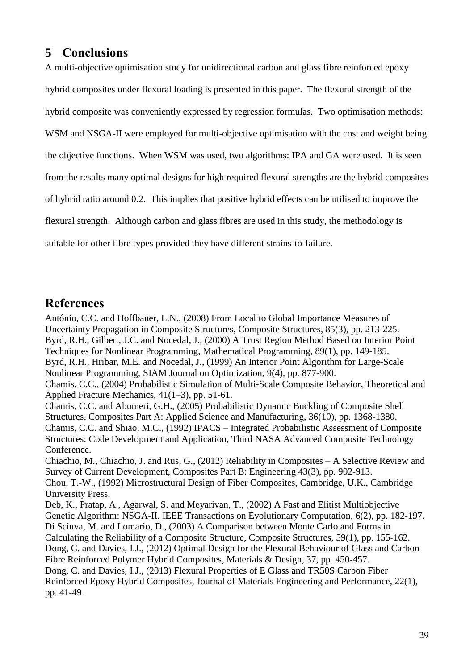# **5 Conclusions**

A multi-objective optimisation study for unidirectional carbon and glass fibre reinforced epoxy

hybrid composites under flexural loading is presented in this paper. The flexural strength of the

hybrid composite was conveniently expressed by regression formulas. Two optimisation methods:

WSM and NSGA-II were employed for multi-objective optimisation with the cost and weight being

the objective functions. When WSM was used, two algorithms: IPA and GA were used. It is seen

from the results many optimal designs for high required flexural strengths are the hybrid composites

of hybrid ratio around 0.2. This implies that positive hybrid effects can be utilised to improve the

flexural strength. Although carbon and glass fibres are used in this study, the methodology is

suitable for other fibre types provided they have different strains-to-failure.

# **References**

António, C.C. and Hoffbauer, L.N., (2008) From Local to Global Importance Measures of Uncertainty Propagation in Composite Structures, Composite Structures, 85(3), pp. 213-225. Byrd, R.H., Gilbert, J.C. and Nocedal, J., (2000) A Trust Region Method Based on Interior Point Techniques for Nonlinear Programming, Mathematical Programming, 89(1), pp. 149-185. Byrd, R.H., Hribar, M.E. and Nocedal, J., (1999) An Interior Point Algorithm for Large-Scale Nonlinear Programming, SIAM Journal on Optimization, 9(4), pp. 877-900. Chamis, C.C., (2004) Probabilistic Simulation of Multi-Scale Composite Behavior, Theoretical and Applied Fracture Mechanics, 41(1–3), pp. 51-61. Chamis, C.C. and Abumeri, G.H., (2005) Probabilistic Dynamic Buckling of Composite Shell Structures, Composites Part A: Applied Science and Manufacturing, 36(10), pp. 1368-1380. Chamis, C.C. and Shiao, M.C., (1992) IPACS – Integrated Probabilistic Assessment of Composite Structures: Code Development and Application, Third NASA Advanced Composite Technology Conference. Chiachio, M., Chiachio, J. and Rus, G., (2012) Reliability in Composites – A Selective Review and Survey of Current Development, Composites Part B: Engineering 43(3), pp. 902-913. Chou, T.-W., (1992) Microstructural Design of Fiber Composites, Cambridge, U.K., Cambridge University Press. Deb, K., Pratap, A., Agarwal, S. and Meyarivan, T., (2002) A Fast and Elitist Multiobjective Genetic Algorithm: NSGA-II. IEEE Transactions on Evolutionary Computation, 6(2), pp. 182-197. Di Sciuva, M. and Lomario, D., (2003) A Comparison between Monte Carlo and Forms in Calculating the Reliability of a Composite Structure, Composite Structures, 59(1), pp. 155-162. Dong, C. and Davies, I.J., (2012) Optimal Design for the Flexural Behaviour of Glass and Carbon Fibre Reinforced Polymer Hybrid Composites, Materials & Design, 37, pp. 450-457. Dong, C. and Davies, I.J., (2013) Flexural Properties of E Glass and TR50S Carbon Fiber Reinforced Epoxy Hybrid Composites, Journal of Materials Engineering and Performance, 22(1), pp. 41-49.